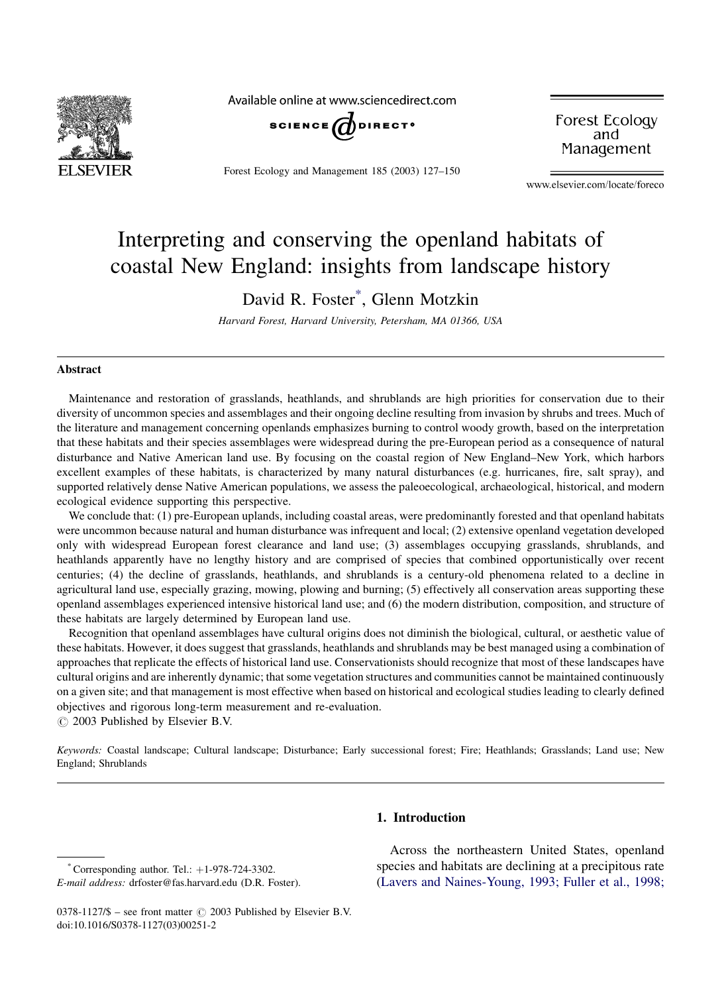

Available online at www.sciencedirect.com



Forest Ecology and Management 185 (2003) 127–150

Forest Ecology and Management

www.elsevier.com/locate/foreco

# Interpreting and conserving the openland habitats of coastal New England: insights from landscape history

David R. Foster<sup>\*</sup>, Glenn Motzkin

Harvard Forest, Harvard University, Petersham, MA 01366, USA

#### Abstract

Maintenance and restoration of grasslands, heathlands, and shrublands are high priorities for conservation due to their diversity of uncommon species and assemblages and their ongoing decline resulting from invasion by shrubs and trees. Much of the literature and management concerning openlands emphasizes burning to control woody growth, based on the interpretation that these habitats and their species assemblages were widespread during the pre-European period as a consequence of natural disturbance and Native American land use. By focusing on the coastal region of New England–New York, which harbors excellent examples of these habitats, is characterized by many natural disturbances (e.g. hurricanes, fire, salt spray), and supported relatively dense Native American populations, we assess the paleoecological, archaeological, historical, and modern ecological evidence supporting this perspective.

We conclude that: (1) pre-European uplands, including coastal areas, were predominantly forested and that openland habitats were uncommon because natural and human disturbance was infrequent and local; (2) extensive openland vegetation developed only with widespread European forest clearance and land use; (3) assemblages occupying grasslands, shrublands, and heathlands apparently have no lengthy history and are comprised of species that combined opportunistically over recent centuries; (4) the decline of grasslands, heathlands, and shrublands is a century-old phenomena related to a decline in agricultural land use, especially grazing, mowing, plowing and burning; (5) effectively all conservation areas supporting these openland assemblages experienced intensive historical land use; and (6) the modern distribution, composition, and structure of these habitats are largely determined by European land use.

Recognition that openland assemblages have cultural origins does not diminish the biological, cultural, or aesthetic value of these habitats. However, it does suggest that grasslands, heathlands and shrublands may be best managed using a combination of approaches that replicate the effects of historical land use. Conservationists should recognize that most of these landscapes have cultural origins and are inherently dynamic; that some vegetation structures and communities cannot be maintained continuously on a given site; and that management is most effective when based on historical and ecological studies leading to clearly defined objectives and rigorous long-term measurement and re-evaluation.

 $\odot$  2003 Published by Elsevier B.V.

Keywords: Coastal landscape; Cultural landscape; Disturbance; Early successional forest; Fire; Heathlands; Grasslands; Land use; New England; Shrublands

 $^{\circ}$  Corresponding author. Tel.:  $+1-978-724-3302$ .

# 1. Introduction

Across the northeastern United States, openland species and habitats are declining at a precipitous rate ([Lavers and Naines-Young, 1993; Fuller et al., 1998;](#page-22-0)

E-mail address: drfoster@fas.harvard.edu (D.R. Foster).

<sup>0378-1127/\$ –</sup> see front matter  $\odot$  2003 Published by Elsevier B.V. doi:10.1016/S0378-1127(03)00251-2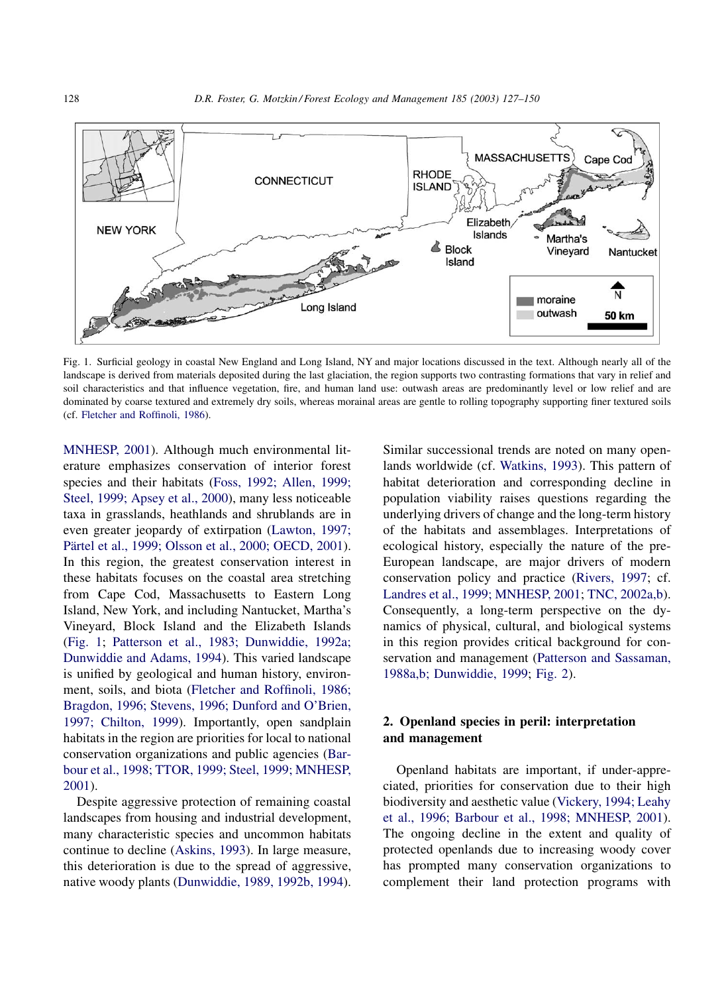<span id="page-1-0"></span>

Fig. 1. Surficial geology in coastal New England and Long Island, NY and major locations discussed in the text. Although nearly all of the landscape is derived from materials deposited during the last glaciation, the region supports two contrasting formations that vary in relief and soil characteristics and that influence vegetation, fire, and human land use: outwash areas are predominantly level or low relief and are dominated by coarse textured and extremely dry soils, whereas morainal areas are gentle to rolling topography supporting finer textured soils (cf. [Fletcher and Roffinoli, 1986](#page-21-0)).

[MNHESP, 2001\)](#page-22-0). Although much environmental literature emphasizes conservation of interior forest species and their habitats ([Foss, 1992; Allen, 1999;](#page-21-0) [Steel, 1999; Apsey et al., 2000\)](#page-21-0), many less noticeable taxa in grasslands, heathlands and shrublands are in even greater jeopardy of extirpation [\(Lawton, 1997;](#page-22-0) Pärtel et al., 1999; Olsson et al., 2000; OECD, 2001). In this region, the greatest conservation interest in these habitats focuses on the coastal area stretching from Cape Cod, Massachusetts to Eastern Long Island, New York, and including Nantucket, Martha's Vineyard, Block Island and the Elizabeth Islands (Fig. 1; [Patterson et al., 1983; Dunwiddie, 1992a;](#page-23-0) [Dunwiddie and Adams, 1994\)](#page-23-0). This varied landscape is unified by geological and human history, environment, soils, and biota [\(Fletcher and Roffinoli, 1986;](#page-21-0) [Bragdon, 1996; Stevens, 1996; Dunford and O'Brien,](#page-21-0) [1997; Chilton, 1999\)](#page-21-0). Importantly, open sandplain habitats in the region are priorities for local to national conservation organizations and public agencies ([Bar](#page-19-0)[bour et al., 1998; TTOR, 1999; Steel, 1999; MNHESP,](#page-19-0) [2001](#page-19-0)).

Despite aggressive protection of remaining coastal landscapes from housing and industrial development, many characteristic species and uncommon habitats continue to decline ([Askins, 1993\)](#page-19-0). In large measure, this deterioration is due to the spread of aggressive, native woody plants ([Dunwiddie, 1989, 1992b, 1994\)](#page-20-0). Similar successional trends are noted on many openlands worldwide (cf. [Watkins, 1993](#page-23-0)). This pattern of habitat deterioration and corresponding decline in population viability raises questions regarding the underlying drivers of change and the long-term history of the habitats and assemblages. Interpretations of ecological history, especially the nature of the pre-European landscape, are major drivers of modern conservation policy and practice ([Rivers, 1997;](#page-23-0) cf. [Landres et al., 1999; MNHESP, 2001](#page-22-0); [TNC, 2002a,b\)](#page-23-0). Consequently, a long-term perspective on the dynamics of physical, cultural, and biological systems in this region provides critical background for conservation and management ([Patterson and Sassaman,](#page-23-0) [1988a,b; Dunwiddie, 1999;](#page-23-0) [Fig. 2](#page-2-0)).

# 2. Openland species in peril: interpretation and management

Openland habitats are important, if under-appreciated, priorities for conservation due to their high biodiversity and aesthetic value [\(Vickery, 1994; Leahy](#page-23-0) [et al., 1996; Barbour et al., 1998; MNHESP, 2001\)](#page-23-0). The ongoing decline in the extent and quality of protected openlands due to increasing woody cover has prompted many conservation organizations to complement their land protection programs with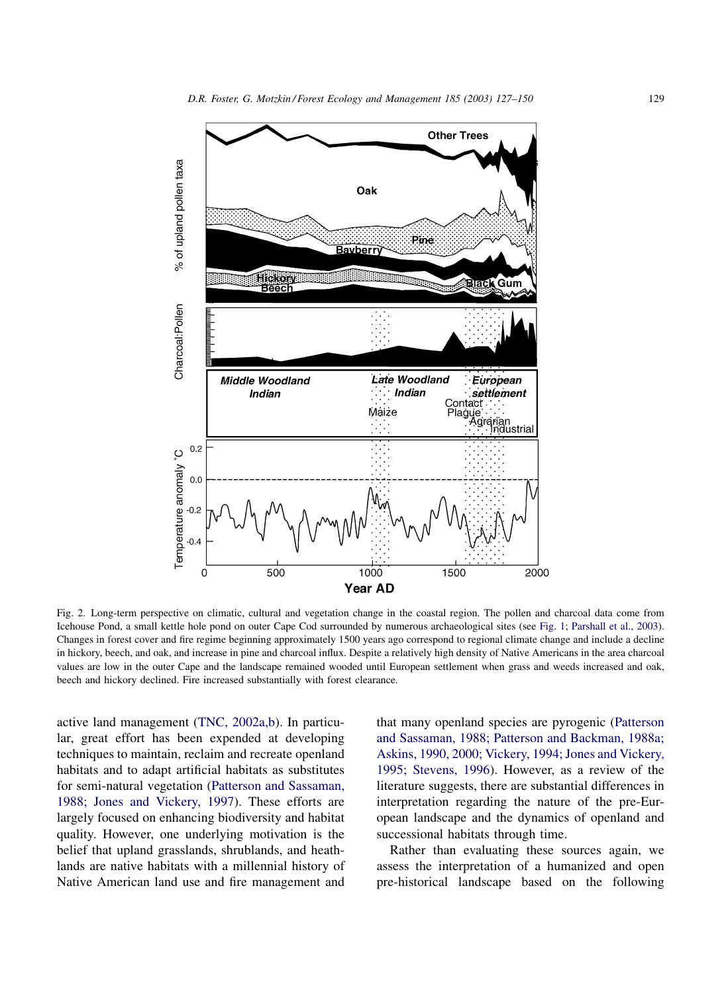<span id="page-2-0"></span>

Fig. 2. Long-term perspective on climatic, cultural and vegetation change in the coastal region. The pollen and charcoal data come from Icehouse Pond, a small kettle hole pond on outer Cape Cod surrounded by numerous archaeological sites (see [Fig. 1;](#page-1-0) [Parshall et al., 2003](#page-22-0)). Changes in forest cover and fire regime beginning approximately 1500 years ago correspond to regional climate change and include a decline in hickory, beech, and oak, and increase in pine and charcoal influx. Despite a relatively high density of Native Americans in the area charcoal values are low in the outer Cape and the landscape remained wooded until European settlement when grass and weeds increased and oak, beech and hickory declined. Fire increased substantially with forest clearance.

active land management [\(TNC, 2002a,b\)](#page-23-0). In particular, great effort has been expended at developing techniques to maintain, reclaim and recreate openland habitats and to adapt artificial habitats as substitutes for semi-natural vegetation [\(Patterson and Sassaman,](#page-23-0) [1988; Jones and Vickery, 1997](#page-23-0)). These efforts are largely focused on enhancing biodiversity and habitat quality. However, one underlying motivation is the belief that upland grasslands, shrublands, and heathlands are native habitats with a millennial history of Native American land use and fire management and that many openland species are pyrogenic ([Patterson](#page-23-0) [and Sassaman, 1988; Patterson and Backman, 1988a;](#page-23-0) [Askins, 1990, 2000; Vickery, 1994; Jones and Vickery,](#page-23-0) [1995; Stevens, 1996](#page-23-0)). However, as a review of the literature suggests, there are substantial differences in interpretation regarding the nature of the pre-European landscape and the dynamics of openland and successional habitats through time.

Rather than evaluating these sources again, we assess the interpretation of a humanized and open pre-historical landscape based on the following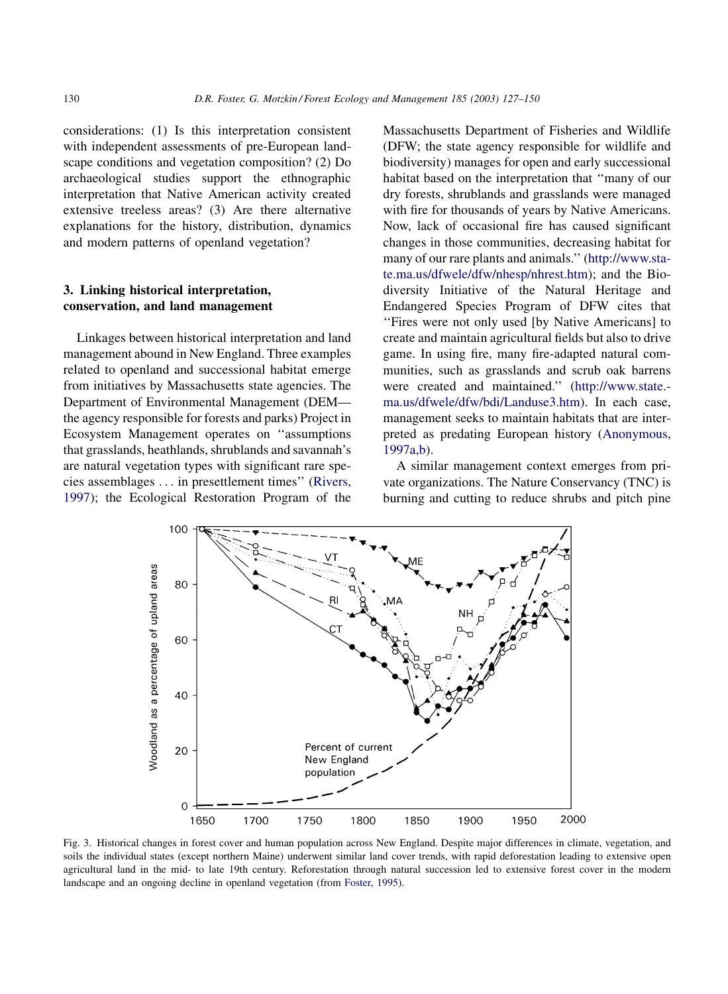<span id="page-3-0"></span>considerations: (1) Is this interpretation consistent with independent assessments of pre-European landscape conditions and vegetation composition? (2) Do archaeological studies support the ethnographic interpretation that Native American activity created extensive treeless areas? (3) Are there alternative explanations for the history, distribution, dynamics and modern patterns of openland vegetation?

#### 3. Linking historical interpretation, conservation, and land management

Linkages between historical interpretation and land management abound in New England. Three examples related to openland and successional habitat emerge from initiatives by Massachusetts state agencies. The Department of Environmental Management (DEM the agency responsible for forests and parks) Project in Ecosystem Management operates on ''assumptions that grasslands, heathlands, shrublands and savannah's are natural vegetation types with significant rare species assemblages ... in presettlement times'' [\(Rivers,](#page-23-0) [1997](#page-23-0)); the Ecological Restoration Program of the Massachusetts Department of Fisheries and Wildlife (DFW; the state agency responsible for wildlife and biodiversity) manages for open and early successional habitat based on the interpretation that ''many of our dry forests, shrublands and grasslands were managed with fire for thousands of years by Native Americans. Now, lack of occasional fire has caused significant changes in those communities, decreasing habitat for many of our rare plants and animals.'' ([http://www.sta](HTTP://WWW.STATE.MA.US/DFWELE/DFW/NHESP/NHREST.HTM)[te.ma.us/dfwele/dfw/nhesp/nhrest.htm\)](HTTP://WWW.STATE.MA.US/DFWELE/DFW/NHESP/NHREST.HTM); and the Biodiversity Initiative of the Natural Heritage and Endangered Species Program of DFW cites that ''Fires were not only used [by Native Americans] to create and maintain agricultural fields but also to drive game. In using fire, many fire-adapted natural communities, such as grasslands and scrub oak barrens were created and maintained.'' [\(http://www.state.](HTTP://WWW.STATE.MA.US/DFWELE/DFW/BDI/LANDUSE3.HTM) [ma.us/dfwele/dfw/bdi/Landuse3.htm\)](HTTP://WWW.STATE.MA.US/DFWELE/DFW/BDI/LANDUSE3.HTM). In each case, management seeks to maintain habitats that are interpreted as predating European history ([Anonymous,](#page-19-0) [1997a,b](#page-19-0)).

A similar management context emerges from private organizations. The Nature Conservancy (TNC) is burning and cutting to reduce shrubs and pitch pine



Fig. 3. Historical changes in forest cover and human population across New England. Despite major differences in climate, vegetation, and soils the individual states (except northern Maine) underwent similar land cover trends, with rapid deforestation leading to extensive open agricultural land in the mid- to late 19th century. Reforestation through natural succession led to extensive forest cover in the modern landscape and an ongoing decline in openland vegetation (from [Foster, 1995\)](#page-21-0).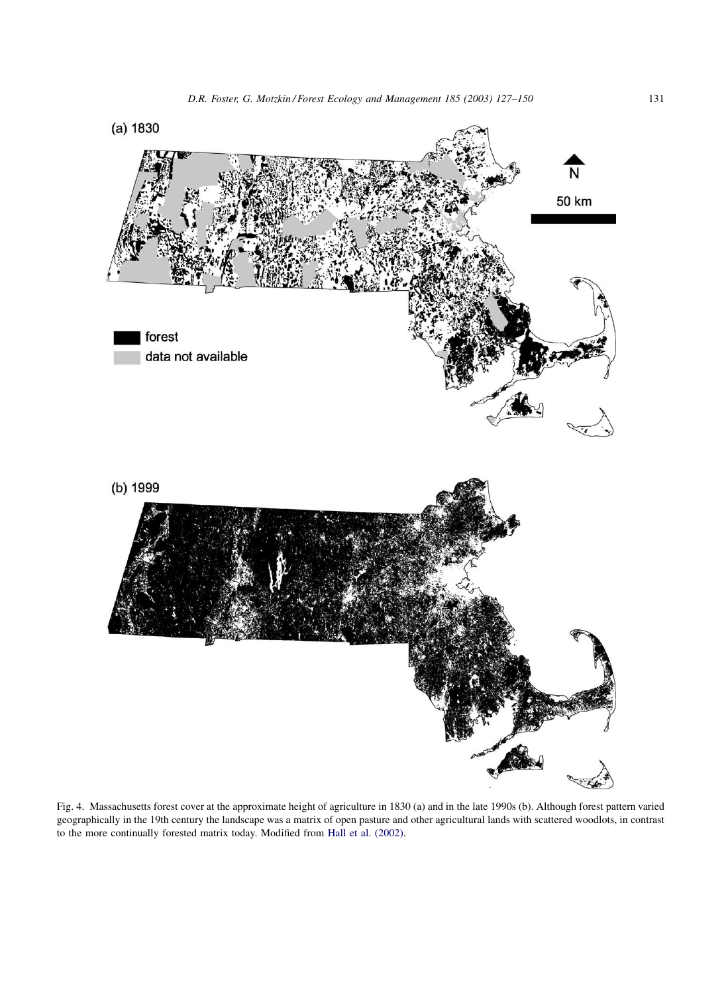

Fig. 4. Massachusetts forest cover at the approximate height of agriculture in 1830 (a) and in the late 1990s (b). Although forest pattern varied geographically in the 19th century the landscape was a matrix of open pasture and other agricultural lands with scattered woodlots, in contrast to the more continually forested matrix today. Modified from [Hall et al. \(2002\).](#page-21-0)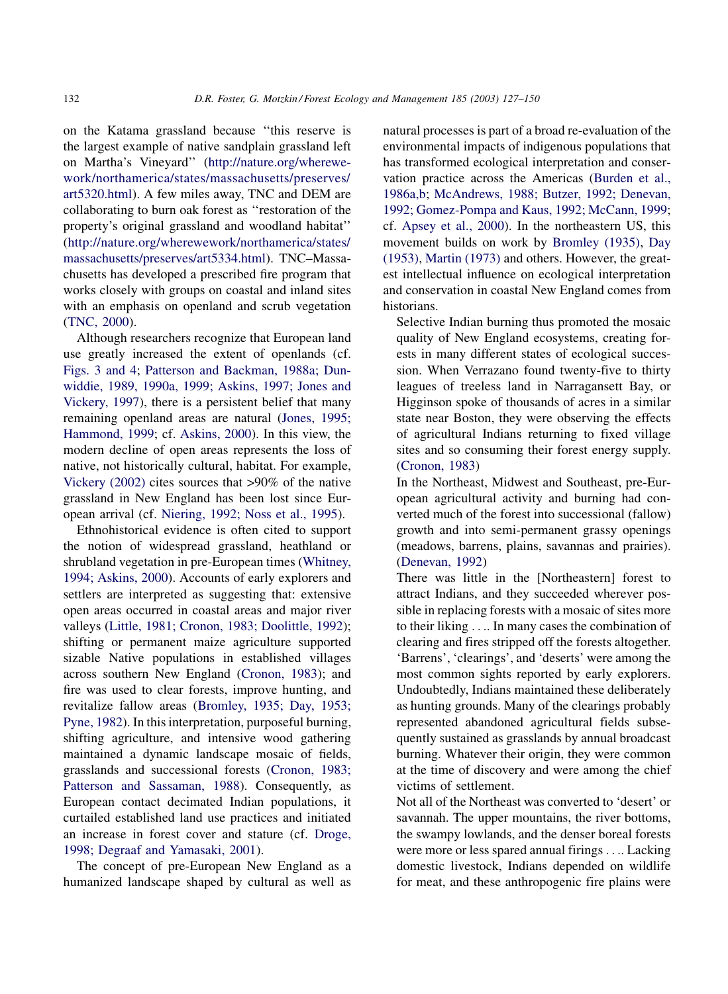on the Katama grassland because ''this reserve is the largest example of native sandplain grassland left on Martha's Vineyard'' ([http://nature.org/wherewe](HTTP://NATURE.ORG/WHEREWEWORK/NORTHAMERICA/STATES/MASSACHUSETTS/PRESERVES/ART5320.HTML)[work/northamerica/states/massachusetts/preserves/](HTTP://NATURE.ORG/WHEREWEWORK/NORTHAMERICA/STATES/MASSACHUSETTS/PRESERVES/ART5320.HTML) [art5320.html\)](HTTP://NATURE.ORG/WHEREWEWORK/NORTHAMERICA/STATES/MASSACHUSETTS/PRESERVES/ART5320.HTML). A few miles away, TNC and DEM are collaborating to burn oak forest as ''restoration of the property's original grassland and woodland habitat'' ([http://nature.org/wherewework/northamerica/states/](HTTP://NATURE.ORG/WHEREWEWORK/NORTHAMERICA/STATES/MASSACHUSETTS/PRESERVES/ART5334.HTML) [massachusetts/preserves/art5334.html\)](HTTP://NATURE.ORG/WHEREWEWORK/NORTHAMERICA/STATES/MASSACHUSETTS/PRESERVES/ART5334.HTML). TNC–Massachusetts has developed a prescribed fire program that works closely with groups on coastal and inland sites with an emphasis on openland and scrub vegetation ([TNC, 2000](#page-23-0)).

Although researchers recognize that European land use greatly increased the extent of openlands (cf. Figs. 3 and 4; [Patterson and Backman, 1988a; Dun](#page-23-0)[widdie, 1989, 1990a, 1999; Askins, 1997; Jones and](#page-23-0) [Vickery, 1997](#page-23-0)), there is a persistent belief that many remaining openland areas are natural ([Jones, 1995;](#page-21-0) [Hammond, 1999](#page-21-0); cf. [Askins, 2000\)](#page-19-0). In this view, the modern decline of open areas represents the loss of native, not historically cultural, habitat. For example, [Vickery \(2002\)](#page-23-0) cites sources that >90% of the native grassland in New England has been lost since European arrival (cf. [Niering, 1992; Noss et al., 1995\)](#page-22-0).

Ethnohistorical evidence is often cited to support the notion of widespread grassland, heathland or shrubland vegetation in pre-European times [\(Whitney,](#page-23-0) [1994; Askins, 2000\)](#page-23-0). Accounts of early explorers and settlers are interpreted as suggesting that: extensive open areas occurred in coastal areas and major river valleys ([Little, 1981; Cronon, 1983; Doolittle, 1992](#page-22-0)); shifting or permanent maize agriculture supported sizable Native populations in established villages across southern New England [\(Cronon, 1983](#page-20-0)); and fire was used to clear forests, improve hunting, and revitalize fallow areas ([Bromley, 1935; Day, 1953;](#page-20-0) [Pyne, 1982\)](#page-20-0). In this interpretation, purposeful burning, shifting agriculture, and intensive wood gathering maintained a dynamic landscape mosaic of fields, grasslands and successional forests ([Cronon, 1983;](#page-20-0) [Patterson and Sassaman, 1988](#page-20-0)). Consequently, as European contact decimated Indian populations, it curtailed established land use practices and initiated an increase in forest cover and stature (cf. [Droge,](#page-20-0) [1998; Degraaf and Yamasaki, 2001\)](#page-20-0).

The concept of pre-European New England as a humanized landscape shaped by cultural as well as natural processes is part of a broad re-evaluation of the environmental impacts of indigenous populations that has transformed ecological interpretation and conservation practice across the Americas ([Burden et al.,](#page-20-0) [1986a,b](#page-20-0); [McAndrews, 1988; Butzer, 1992; Denevan,](#page-22-0) [1992; Gomez-Pompa and Kaus, 1992; McCann, 1999;](#page-22-0) cf. [Apsey et al., 2000](#page-19-0)). In the northeastern US, this movement builds on work by [Bromley \(1935\),](#page-20-0) [Day](#page-20-0) [\(1953\)](#page-20-0), [Martin \(1973\)](#page-22-0) and others. However, the greatest intellectual influence on ecological interpretation and conservation in coastal New England comes from historians.

Selective Indian burning thus promoted the mosaic quality of New England ecosystems, creating forests in many different states of ecological succession. When Verrazano found twenty-five to thirty leagues of treeless land in Narragansett Bay, or Higginson spoke of thousands of acres in a similar state near Boston, they were observing the effects of agricultural Indians returning to fixed village sites and so consuming their forest energy supply. ([Cronon, 1983\)](#page-20-0)

In the Northeast, Midwest and Southeast, pre-European agricultural activity and burning had converted much of the forest into successional (fallow) growth and into semi-permanent grassy openings (meadows, barrens, plains, savannas and prairies). ([Denevan, 1992\)](#page-20-0)

There was little in the [Northeastern] forest to attract Indians, and they succeeded wherever possible in replacing forests with a mosaic of sites more to their liking .... In many cases the combination of clearing and fires stripped off the forests altogether. 'Barrens', 'clearings', and 'deserts' were among the most common sights reported by early explorers. Undoubtedly, Indians maintained these deliberately as hunting grounds. Many of the clearings probably represented abandoned agricultural fields subsequently sustained as grasslands by annual broadcast burning. Whatever their origin, they were common at the time of discovery and were among the chief victims of settlement.

Not all of the Northeast was converted to 'desert' or savannah. The upper mountains, the river bottoms, the swampy lowlands, and the denser boreal forests were more or less spared annual firings .... Lacking domestic livestock, Indians depended on wildlife for meat, and these anthropogenic fire plains were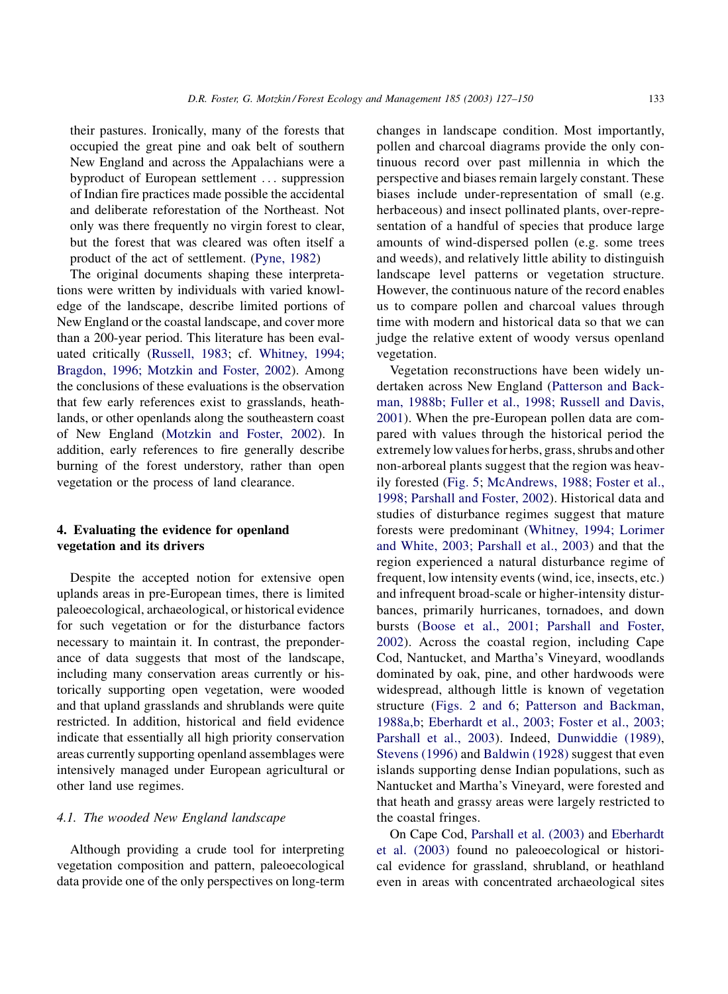their pastures. Ironically, many of the forests that occupied the great pine and oak belt of southern New England and across the Appalachians were a byproduct of European settlement ... suppression of Indian fire practices made possible the accidental and deliberate reforestation of the Northeast. Not only was there frequently no virgin forest to clear, but the forest that was cleared was often itself a product of the act of settlement. ([Pyne, 1982](#page-23-0))

The original documents shaping these interpretations were written by individuals with varied knowledge of the landscape, describe limited portions of New England or the coastal landscape, and cover more than a 200-year period. This literature has been evaluated critically [\(Russell, 1983](#page-23-0); cf. [Whitney, 1994;](#page-23-0) [Bragdon, 1996; Motzkin and Foster, 2002\)](#page-23-0). Among the conclusions of these evaluations is the observation that few early references exist to grasslands, heathlands, or other openlands along the southeastern coast of New England [\(Motzkin and Foster, 2002\)](#page-22-0). In addition, early references to fire generally describe burning of the forest understory, rather than open vegetation or the process of land clearance.

# 4. Evaluating the evidence for openland vegetation and its drivers

Despite the accepted notion for extensive open uplands areas in pre-European times, there is limited paleoecological, archaeological, or historical evidence for such vegetation or for the disturbance factors necessary to maintain it. In contrast, the preponderance of data suggests that most of the landscape, including many conservation areas currently or historically supporting open vegetation, were wooded and that upland grasslands and shrublands were quite restricted. In addition, historical and field evidence indicate that essentially all high priority conservation areas currently supporting openland assemblages were intensively managed under European agricultural or other land use regimes.

#### 4.1. The wooded New England landscape

Although providing a crude tool for interpreting vegetation composition and pattern, paleoecological data provide one of the only perspectives on long-term

changes in landscape condition. Most importantly, pollen and charcoal diagrams provide the only continuous record over past millennia in which the perspective and biases remain largely constant. These biases include under-representation of small (e.g. herbaceous) and insect pollinated plants, over-representation of a handful of species that produce large amounts of wind-dispersed pollen (e.g. some trees and weeds), and relatively little ability to distinguish landscape level patterns or vegetation structure. However, the continuous nature of the record enables us to compare pollen and charcoal values through time with modern and historical data so that we can judge the relative extent of woody versus openland vegetation.

Vegetation reconstructions have been widely undertaken across New England ([Patterson and Back](#page-23-0)[man, 1988b; Fuller et al., 1998; Russell and Davis,](#page-23-0) [2001](#page-23-0)). When the pre-European pollen data are compared with values through the historical period the extremely low values for herbs, grass, shrubs and other non-arboreal plants suggest that the region was heavily forested ([Fig. 5;](#page-7-0) [McAndrews, 1988; Foster et al.,](#page-22-0) [1998; Parshall and Foster, 2002\)](#page-22-0). Historical data and studies of disturbance regimes suggest that mature forests were predominant [\(Whitney, 1994; Lorimer](#page-23-0) [and White, 2003; Parshall et al., 2003\)](#page-23-0) and that the region experienced a natural disturbance regime of frequent, low intensity events (wind, ice, insects, etc.) and infrequent broad-scale or higher-intensity disturbances, primarily hurricanes, tornadoes, and down bursts ([Boose et al., 2001; Parshall and Foster,](#page-20-0) [2002](#page-20-0)). Across the coastal region, including Cape Cod, Nantucket, and Martha's Vineyard, woodlands dominated by oak, pine, and other hardwoods were widespread, although little is known of vegetation structure ([Figs. 2 and 6;](#page-2-0) [Patterson and Backman,](#page-23-0) [1988a,b](#page-23-0); [Eberhardt et al., 2003; Foster et al., 2003;](#page-21-0) [Parshall et al., 2003](#page-21-0)). Indeed, [Dunwiddie \(1989\)](#page-20-0), [Stevens \(1996\)](#page-23-0) and [Baldwin \(1928\)](#page-19-0) suggest that even islands supporting dense Indian populations, such as Nantucket and Martha's Vineyard, were forested and that heath and grassy areas were largely restricted to the coastal fringes.

On Cape Cod, [Parshall et al. \(2003\)](#page-22-0) and [Eberhardt](#page-21-0) [et al. \(2003\)](#page-21-0) found no paleoecological or historical evidence for grassland, shrubland, or heathland even in areas with concentrated archaeological sites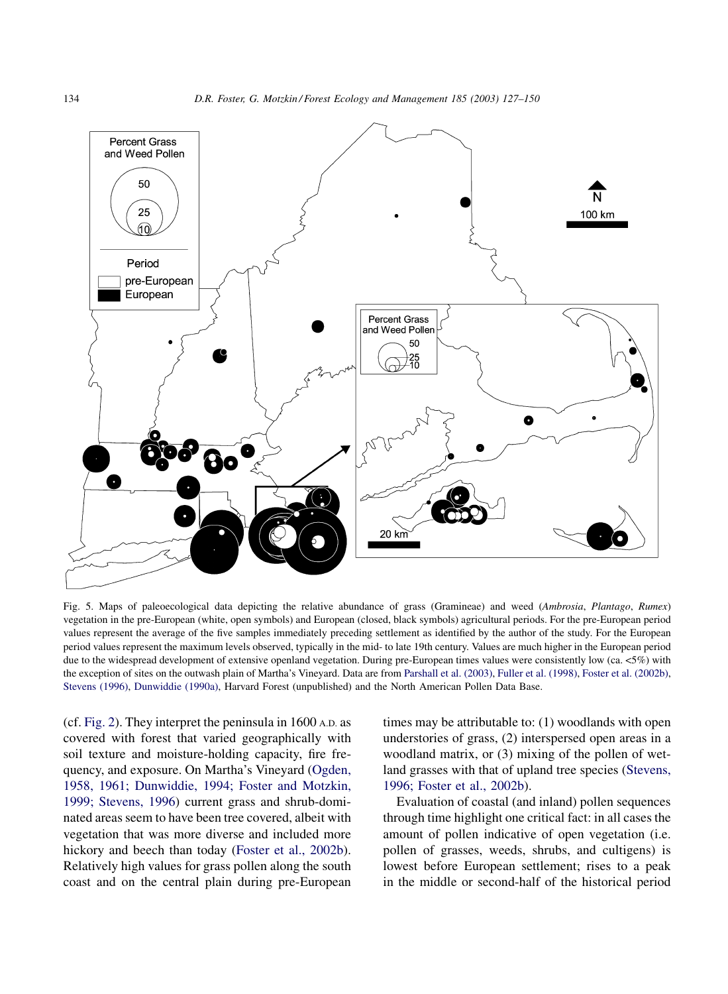<span id="page-7-0"></span>

Fig. 5. Maps of paleoecological data depicting the relative abundance of grass (Gramineae) and weed (Ambrosia, Plantago, Rumex) vegetation in the pre-European (white, open symbols) and European (closed, black symbols) agricultural periods. For the pre-European period values represent the average of the five samples immediately preceding settlement as identified by the author of the study. For the European period values represent the maximum levels observed, typically in the mid- to late 19th century. Values are much higher in the European period due to the widespread development of extensive openland vegetation. During pre-European times values were consistently low (ca. <5%) with the exception of sites on the outwash plain of Martha's Vineyard. Data are from [Parshall et al. \(2003\)](#page-22-0), [Fuller et al. \(1998\),](#page-21-0) [Foster et al. \(2002b\),](#page-21-0) [Stevens \(1996\),](#page-23-0) [Dunwiddie \(1990a\)](#page-20-0), Harvard Forest (unpublished) and the North American Pollen Data Base.

(cf. [Fig. 2\)](#page-2-0). They interpret the peninsula in 1600 A.D. as covered with forest that varied geographically with soil texture and moisture-holding capacity, fire frequency, and exposure. On Martha's Vineyard ([Ogden,](#page-22-0) [1958, 1961; Dunwiddie, 1994; Foster and Motzkin,](#page-22-0) [1999; Stevens, 1996](#page-22-0)) current grass and shrub-dominated areas seem to have been tree covered, albeit with vegetation that was more diverse and included more hickory and beech than today ([Foster et al., 2002b\)](#page-21-0). Relatively high values for grass pollen along the south coast and on the central plain during pre-European times may be attributable to: (1) woodlands with open understories of grass, (2) interspersed open areas in a woodland matrix, or (3) mixing of the pollen of wetland grasses with that of upland tree species [\(Stevens,](#page-23-0) [1996; Foster et al., 2002b\)](#page-23-0).

Evaluation of coastal (and inland) pollen sequences through time highlight one critical fact: in all cases the amount of pollen indicative of open vegetation (i.e. pollen of grasses, weeds, shrubs, and cultigens) is lowest before European settlement; rises to a peak in the middle or second-half of the historical period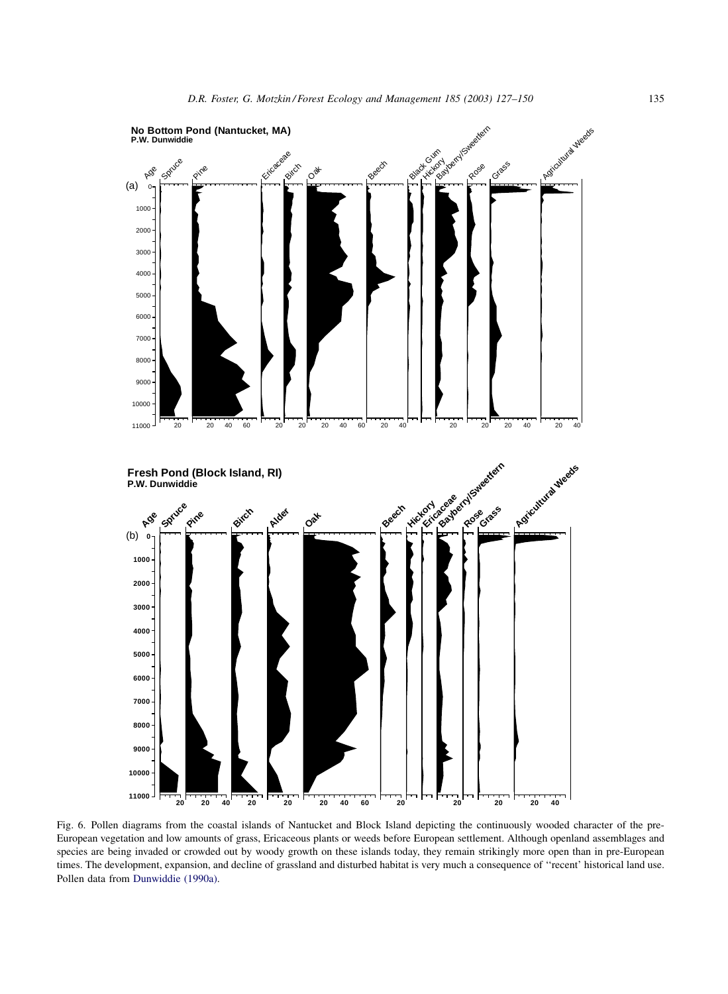

Fig. 6. Pollen diagrams from the coastal islands of Nantucket and Block Island depicting the continuously wooded character of the pre-European vegetation and low amounts of grass, Ericaceous plants or weeds before European settlement. Although openland assemblages and species are being invaded or crowded out by woody growth on these islands today, they remain strikingly more open than in pre-European times. The development, expansion, and decline of grassland and disturbed habitat is very much a consequence of ''recent' historical land use. Pollen data from [Dunwiddie \(1990a\)](#page-20-0).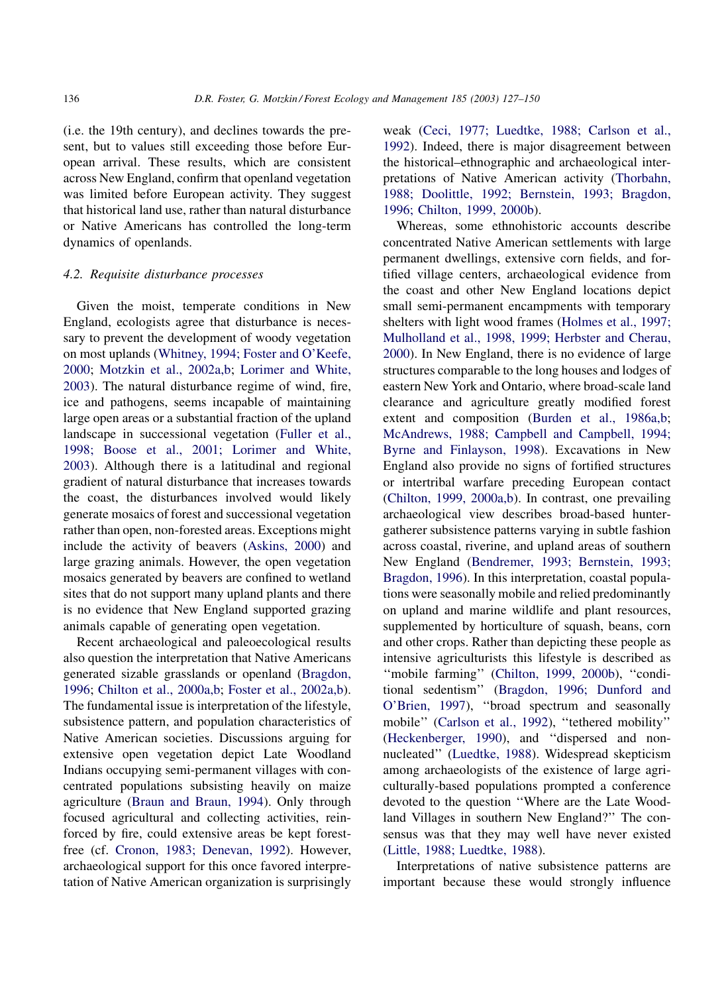(i.e. the 19th century), and declines towards the present, but to values still exceeding those before European arrival. These results, which are consistent across New England, confirm that openland vegetation was limited before European activity. They suggest that historical land use, rather than natural disturbance or Native Americans has controlled the long-term dynamics of openlands.

#### 4.2. Requisite disturbance processes

Given the moist, temperate conditions in New England, ecologists agree that disturbance is necessary to prevent the development of woody vegetation on most uplands [\(Whitney, 1994; Foster and O'Keefe,](#page-23-0) [2000](#page-23-0); [Motzkin et al., 2002a,b;](#page-22-0) [Lorimer and White,](#page-22-0) [2003](#page-22-0)). The natural disturbance regime of wind, fire, ice and pathogens, seems incapable of maintaining large open areas or a substantial fraction of the upland landscape in successional vegetation [\(Fuller et al.,](#page-21-0) [1998; Boose et al., 2001; Lorimer and White,](#page-21-0) [2003](#page-21-0)). Although there is a latitudinal and regional gradient of natural disturbance that increases towards the coast, the disturbances involved would likely generate mosaics of forest and successional vegetation rather than open, non-forested areas. Exceptions might include the activity of beavers [\(Askins, 2000](#page-19-0)) and large grazing animals. However, the open vegetation mosaics generated by beavers are confined to wetland sites that do not support many upland plants and there is no evidence that New England supported grazing animals capable of generating open vegetation.

Recent archaeological and paleoecological results also question the interpretation that Native Americans generated sizable grasslands or openland ([Bragdon,](#page-20-0) [1996](#page-20-0); [Chilton et al., 2000a,b;](#page-20-0) [Foster et al., 2002a,b\)](#page-21-0). The fundamental issue is interpretation of the lifestyle, subsistence pattern, and population characteristics of Native American societies. Discussions arguing for extensive open vegetation depict Late Woodland Indians occupying semi-permanent villages with concentrated populations subsisting heavily on maize agriculture ([Braun and Braun, 1994](#page-20-0)). Only through focused agricultural and collecting activities, reinforced by fire, could extensive areas be kept forestfree (cf. [Cronon, 1983; Denevan, 1992\)](#page-20-0). However, archaeological support for this once favored interpretation of Native American organization is surprisingly weak [\(Ceci, 1977; Luedtke, 1988; Carlson et al.,](#page-20-0) [1992](#page-20-0)). Indeed, there is major disagreement between the historical–ethnographic and archaeological interpretations of Native American activity [\(Thorbahn,](#page-23-0) [1988; Doolittle, 1992; Bernstein, 1993; Bragdon,](#page-23-0) [1996; Chilton, 1999, 2000b](#page-23-0)).

Whereas, some ethnohistoric accounts describe concentrated Native American settlements with large permanent dwellings, extensive corn fields, and fortified village centers, archaeological evidence from the coast and other New England locations depict small semi-permanent encampments with temporary shelters with light wood frames ([Holmes et al., 1997;](#page-21-0) [Mulholland et al., 1998, 1999; Herbster and Cherau,](#page-21-0) [2000](#page-21-0)). In New England, there is no evidence of large structures comparable to the long houses and lodges of eastern New York and Ontario, where broad-scale land clearance and agriculture greatly modified forest extent and composition [\(Burden et al., 1986a,b;](#page-20-0) [McAndrews, 1988; Campbell and Campbell, 1994;](#page-22-0) [Byrne and Finlayson, 1998](#page-22-0)). Excavations in New England also provide no signs of fortified structures or intertribal warfare preceding European contact ([Chilton, 1999, 2000a,b](#page-20-0)). In contrast, one prevailing archaeological view describes broad-based huntergatherer subsistence patterns varying in subtle fashion across coastal, riverine, and upland areas of southern New England ([Bendremer, 1993; Bernstein, 1993;](#page-19-0) [Bragdon, 1996\)](#page-19-0). In this interpretation, coastal populations were seasonally mobile and relied predominantly on upland and marine wildlife and plant resources, supplemented by horticulture of squash, beans, corn and other crops. Rather than depicting these people as intensive agriculturists this lifestyle is described as ''mobile farming'' ([Chilton, 1999, 2000b\)](#page-20-0), ''conditional sedentism'' ([Bragdon, 1996; Dunford and](#page-20-0) [O'Brien, 1997](#page-20-0)), ''broad spectrum and seasonally mobile'' ([Carlson et al., 1992\)](#page-20-0), ''tethered mobility'' ([Heckenberger, 1990](#page-21-0)), and ''dispersed and nonnucleated'' [\(Luedtke, 1988\)](#page-22-0). Widespread skepticism among archaeologists of the existence of large agriculturally-based populations prompted a conference devoted to the question ''Where are the Late Woodland Villages in southern New England?'' The consensus was that they may well have never existed ([Little, 1988; Luedtke, 1988](#page-22-0)).

Interpretations of native subsistence patterns are important because these would strongly influence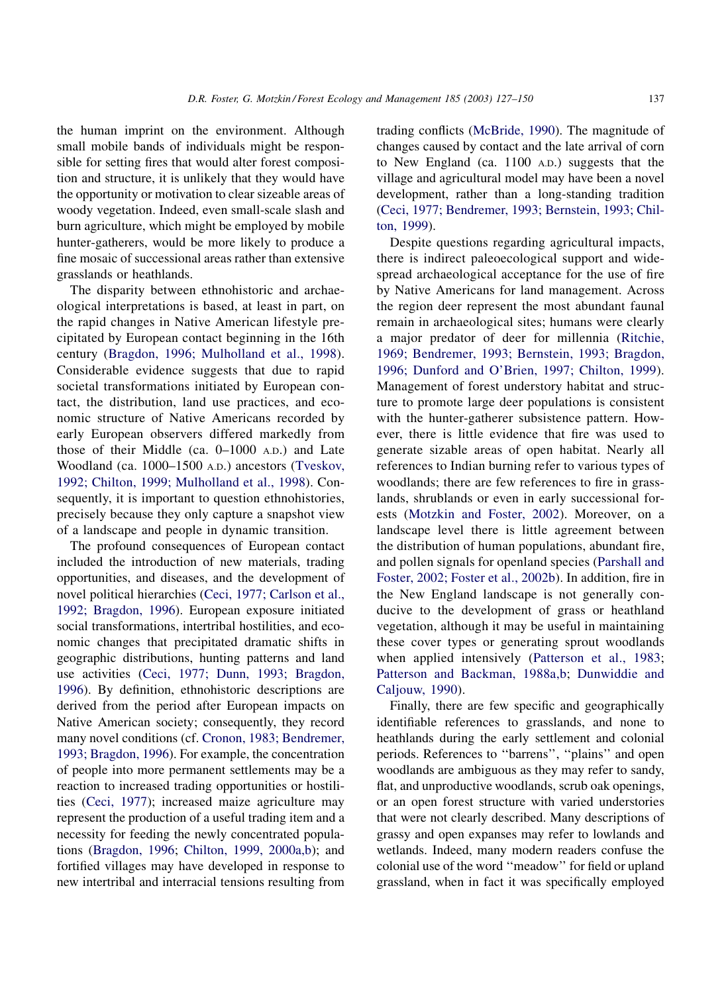the human imprint on the environment. Although small mobile bands of individuals might be responsible for setting fires that would alter forest composition and structure, it is unlikely that they would have the opportunity or motivation to clear sizeable areas of woody vegetation. Indeed, even small-scale slash and burn agriculture, which might be employed by mobile hunter-gatherers, would be more likely to produce a fine mosaic of successional areas rather than extensive grasslands or heathlands.

The disparity between ethnohistoric and archaeological interpretations is based, at least in part, on the rapid changes in Native American lifestyle precipitated by European contact beginning in the 16th century ([Bragdon, 1996; Mulholland et al., 1998\)](#page-20-0). Considerable evidence suggests that due to rapid societal transformations initiated by European contact, the distribution, land use practices, and economic structure of Native Americans recorded by early European observers differed markedly from those of their Middle (ca. 0–1000 A.D.) and Late Woodland (ca. 1000–1500 A.D.) ancestors ([Tveskov,](#page-23-0) [1992; Chilton, 1999; Mulholland et al., 1998](#page-23-0)). Consequently, it is important to question ethnohistories, precisely because they only capture a snapshot view of a landscape and people in dynamic transition.

The profound consequences of European contact included the introduction of new materials, trading opportunities, and diseases, and the development of novel political hierarchies ([Ceci, 1977; Carlson et al.,](#page-20-0) [1992; Bragdon, 1996](#page-20-0)). European exposure initiated social transformations, intertribal hostilities, and economic changes that precipitated dramatic shifts in geographic distributions, hunting patterns and land use activities ([Ceci, 1977; Dunn, 1993; Bragdon,](#page-20-0) [1996](#page-20-0)). By definition, ethnohistoric descriptions are derived from the period after European impacts on Native American society; consequently, they record many novel conditions (cf. [Cronon, 1983; Bendremer,](#page-20-0) [1993; Bragdon, 1996](#page-20-0)). For example, the concentration of people into more permanent settlements may be a reaction to increased trading opportunities or hostilities ([Ceci, 1977](#page-20-0)); increased maize agriculture may represent the production of a useful trading item and a necessity for feeding the newly concentrated populations ([Bragdon, 1996;](#page-20-0) [Chilton, 1999, 2000a,b\)](#page-20-0); and fortified villages may have developed in response to new intertribal and interracial tensions resulting from

trading conflicts ([McBride, 1990\)](#page-22-0). The magnitude of changes caused by contact and the late arrival of corn to New England (ca. 1100 A.D.) suggests that the village and agricultural model may have been a novel development, rather than a long-standing tradition ([Ceci, 1977; Bendremer, 1993; Bernstein, 1993; Chil](#page-20-0)[ton, 1999](#page-20-0)).

Despite questions regarding agricultural impacts, there is indirect paleoecological support and widespread archaeological acceptance for the use of fire by Native Americans for land management. Across the region deer represent the most abundant faunal remain in archaeological sites; humans were clearly a major predator of deer for millennia ([Ritchie,](#page-23-0) [1969; Bendremer, 1993; Bernstein, 1993; Bragdon,](#page-23-0) [1996; Dunford and O'Brien, 1997; Chilton, 1999\)](#page-23-0). Management of forest understory habitat and structure to promote large deer populations is consistent with the hunter-gatherer subsistence pattern. However, there is little evidence that fire was used to generate sizable areas of open habitat. Nearly all references to Indian burning refer to various types of woodlands; there are few references to fire in grasslands, shrublands or even in early successional forests ([Motzkin and Foster, 2002](#page-22-0)). Moreover, on a landscape level there is little agreement between the distribution of human populations, abundant fire, and pollen signals for openland species ([Parshall and](#page-22-0) [Foster, 2002; Foster et al., 2002b](#page-22-0)). In addition, fire in the New England landscape is not generally conducive to the development of grass or heathland vegetation, although it may be useful in maintaining these cover types or generating sprout woodlands when applied intensively ([Patterson et al., 1983](#page-23-0); [Patterson and Backman, 1988a,b;](#page-23-0) [Dunwiddie and](#page-21-0) [Caljouw, 1990](#page-21-0)).

Finally, there are few specific and geographically identifiable references to grasslands, and none to heathlands during the early settlement and colonial periods. References to ''barrens'', ''plains'' and open woodlands are ambiguous as they may refer to sandy, flat, and unproductive woodlands, scrub oak openings, or an open forest structure with varied understories that were not clearly described. Many descriptions of grassy and open expanses may refer to lowlands and wetlands. Indeed, many modern readers confuse the colonial use of the word ''meadow'' for field or upland grassland, when in fact it was specifically employed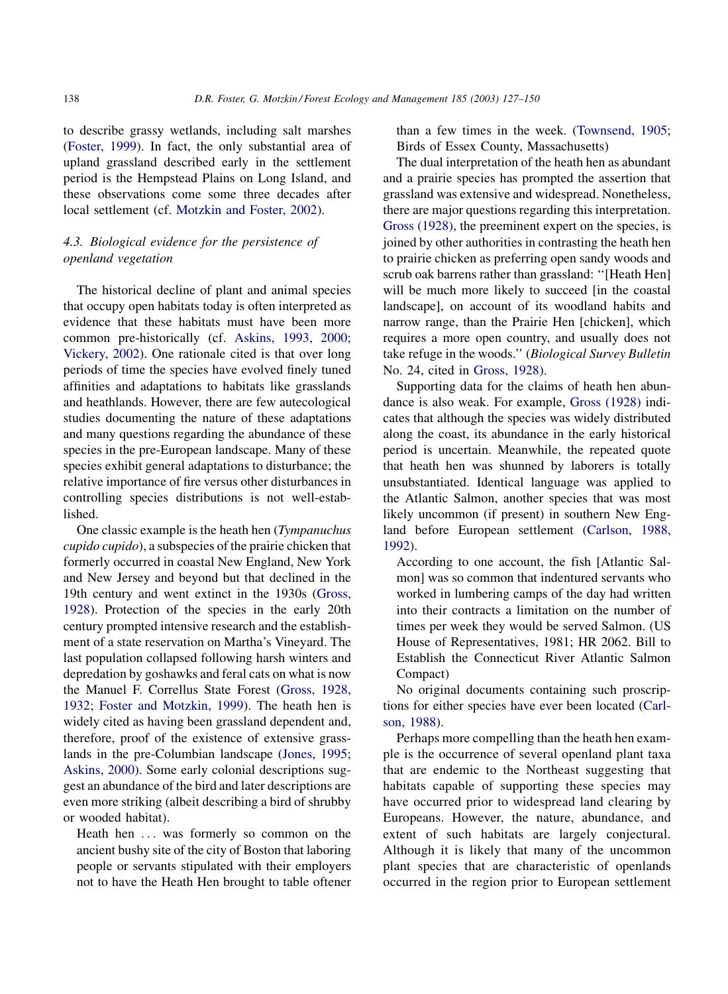to describe grassy wetlands, including salt marshes ([Foster, 1999](#page-21-0)). In fact, the only substantial area of upland grassland described early in the settlement period is the Hempstead Plains on Long Island, and these observations come some three decades after local settlement (cf. [Motzkin and Foster, 2002](#page-22-0)).

# 4.3. Biological evidence for the persistence of openland vegetation

The historical decline of plant and animal species that occupy open habitats today is often interpreted as evidence that these habitats must have been more common pre-historically (cf. [Askins, 1993, 2000;](#page-19-0) [Vickery, 2002](#page-19-0)). One rationale cited is that over long periods of time the species have evolved finely tuned affinities and adaptations to habitats like grasslands and heathlands. However, there are few autecological studies documenting the nature of these adaptations and many questions regarding the abundance of these species in the pre-European landscape. Many of these species exhibit general adaptations to disturbance; the relative importance of fire versus other disturbances in controlling species distributions is not well-established.

One classic example is the heath hen (Tympanuchus cupido cupido), a subspecies of the prairie chicken that formerly occurred in coastal New England, New York and New Jersey and beyond but that declined in the 19th century and went extinct in the 1930s ([Gross,](#page-21-0) [1928](#page-21-0)). Protection of the species in the early 20th century prompted intensive research and the establishment of a state reservation on Martha's Vineyard. The last population collapsed following harsh winters and depredation by goshawks and feral cats on what is now the Manuel F. Correllus State Forest ([Gross, 1928,](#page-21-0) [1932; Foster and Motzkin, 1999](#page-21-0)). The heath hen is widely cited as having been grassland dependent and, therefore, proof of the existence of extensive grasslands in the pre-Columbian landscape [\(Jones, 1995;](#page-21-0) [Askins, 2000\)](#page-21-0). Some early colonial descriptions suggest an abundance of the bird and later descriptions are even more striking (albeit describing a bird of shrubby or wooded habitat).

Heath hen ... was formerly so common on the ancient bushy site of the city of Boston that laboring people or servants stipulated with their employers not to have the Heath Hen brought to table oftener than a few times in the week. ([Townsend, 1905;](#page-23-0) Birds of Essex County, Massachusetts)

The dual interpretation of the heath hen as abundant and a prairie species has prompted the assertion that grassland was extensive and widespread. Nonetheless, there are major questions regarding this interpretation. [Gross \(1928\),](#page-21-0) the preeminent expert on the species, is joined by other authorities in contrasting the heath hen to prairie chicken as preferring open sandy woods and scrub oak barrens rather than grassland: ''[Heath Hen] will be much more likely to succeed [in the coastal landscape], on account of its woodland habits and narrow range, than the Prairie Hen [chicken], which requires a more open country, and usually does not take refuge in the woods.'' (Biological Survey Bulletin No. 24, cited in [Gross, 1928](#page-21-0)).

Supporting data for the claims of heath hen abundance is also weak. For example, [Gross \(1928\)](#page-21-0) indicates that although the species was widely distributed along the coast, its abundance in the early historical period is uncertain. Meanwhile, the repeated quote that heath hen was shunned by laborers is totally unsubstantiated. Identical language was applied to the Atlantic Salmon, another species that was most likely uncommon (if present) in southern New England before European settlement ([Carlson, 1988,](#page-20-0) [1992](#page-20-0)).

According to one account, the fish [Atlantic Salmon] was so common that indentured servants who worked in lumbering camps of the day had written into their contracts a limitation on the number of times per week they would be served Salmon. (US House of Representatives, 1981; HR 2062. Bill to Establish the Connecticut River Atlantic Salmon Compact)

No original documents containing such proscriptions for either species have ever been located [\(Carl](#page-20-0)[son, 1988](#page-20-0)).

Perhaps more compelling than the heath hen example is the occurrence of several openland plant taxa that are endemic to the Northeast suggesting that habitats capable of supporting these species may have occurred prior to widespread land clearing by Europeans. However, the nature, abundance, and extent of such habitats are largely conjectural. Although it is likely that many of the uncommon plant species that are characteristic of openlands occurred in the region prior to European settlement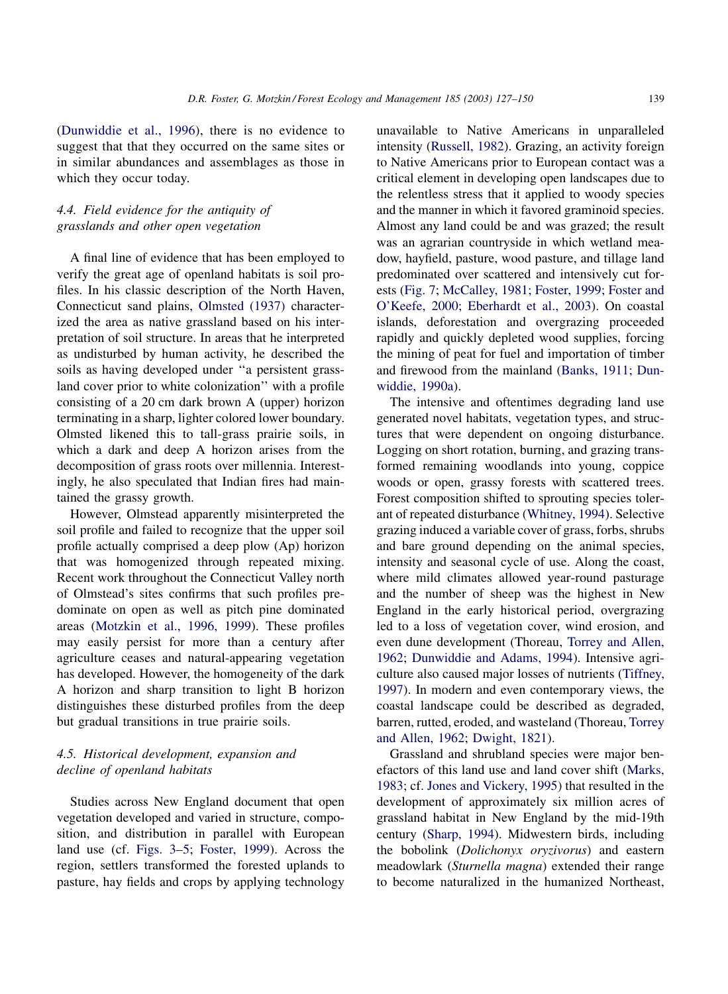([Dunwiddie et al., 1996](#page-21-0)), there is no evidence to suggest that that they occurred on the same sites or in similar abundances and assemblages as those in which they occur today.

# 4.4. Field evidence for the antiquity of grasslands and other open vegetation

A final line of evidence that has been employed to verify the great age of openland habitats is soil profiles. In his classic description of the North Haven, Connecticut sand plains, [Olmsted \(1937\)](#page-22-0) characterized the area as native grassland based on his interpretation of soil structure. In areas that he interpreted as undisturbed by human activity, he described the soils as having developed under ''a persistent grassland cover prior to white colonization'' with a profile consisting of a 20 cm dark brown A (upper) horizon terminating in a sharp, lighter colored lower boundary. Olmsted likened this to tall-grass prairie soils, in which a dark and deep A horizon arises from the decomposition of grass roots over millennia. Interestingly, he also speculated that Indian fires had maintained the grassy growth.

However, Olmstead apparently misinterpreted the soil profile and failed to recognize that the upper soil profile actually comprised a deep plow (Ap) horizon that was homogenized through repeated mixing. Recent work throughout the Connecticut Valley north of Olmstead's sites confirms that such profiles predominate on open as well as pitch pine dominated areas ([Motzkin et al., 1996, 1999\)](#page-22-0). These profiles may easily persist for more than a century after agriculture ceases and natural-appearing vegetation has developed. However, the homogeneity of the dark A horizon and sharp transition to light B horizon distinguishes these disturbed profiles from the deep but gradual transitions in true prairie soils.

# 4.5. Historical development, expansion and decline of openland habitats

Studies across New England document that open vegetation developed and varied in structure, composition, and distribution in parallel with European land use (cf. [Figs. 3–5;](#page-3-0) [Foster, 1999\)](#page-21-0). Across the region, settlers transformed the forested uplands to pasture, hay fields and crops by applying technology

unavailable to Native Americans in unparalleled intensity [\(Russell, 1982\)](#page-23-0). Grazing, an activity foreign to Native Americans prior to European contact was a critical element in developing open landscapes due to the relentless stress that it applied to woody species and the manner in which it favored graminoid species. Almost any land could be and was grazed; the result was an agrarian countryside in which wetland meadow, hayfield, pasture, wood pasture, and tillage land predominated over scattered and intensively cut forests [\(Fig. 7;](#page-13-0) [McCalley, 1981; Foster, 1999; Foster and](#page-22-0) [O'Keefe, 2000; Eberhardt et al., 2003](#page-22-0)). On coastal islands, deforestation and overgrazing proceeded rapidly and quickly depleted wood supplies, forcing the mining of peat for fuel and importation of timber and firewood from the mainland ([Banks, 1911; Dun](#page-19-0)[widdie, 1990a](#page-19-0)).

The intensive and oftentimes degrading land use generated novel habitats, vegetation types, and structures that were dependent on ongoing disturbance. Logging on short rotation, burning, and grazing transformed remaining woodlands into young, coppice woods or open, grassy forests with scattered trees. Forest composition shifted to sprouting species tolerant of repeated disturbance [\(Whitney, 1994](#page-23-0)). Selective grazing induced a variable cover of grass, forbs, shrubs and bare ground depending on the animal species, intensity and seasonal cycle of use. Along the coast, where mild climates allowed year-round pasturage and the number of sheep was the highest in New England in the early historical period, overgrazing led to a loss of vegetation cover, wind erosion, and even dune development (Thoreau, [Torrey and Allen,](#page-23-0) [1962;](#page-23-0) [Dunwiddie and Adams, 1994](#page-21-0)). Intensive agriculture also caused major losses of nutrients ([Tiffney,](#page-23-0) [1997\)](#page-23-0). In modern and even contemporary views, the coastal landscape could be described as degraded, barren, rutted, eroded, and wasteland (Thoreau, [Torrey](#page-23-0) [and Allen, 1962](#page-23-0); [Dwight, 1821](#page-21-0)).

Grassland and shrubland species were major benefactors of this land use and land cover shift ([Marks,](#page-22-0) [1983;](#page-22-0) cf. [Jones and Vickery, 1995\)](#page-21-0) that resulted in the development of approximately six million acres of grassland habitat in New England by the mid-19th century [\(Sharp, 1994\)](#page-23-0). Midwestern birds, including the bobolink (Dolichonyx oryzivorus) and eastern meadowlark (Sturnella magna) extended their range to become naturalized in the humanized Northeast,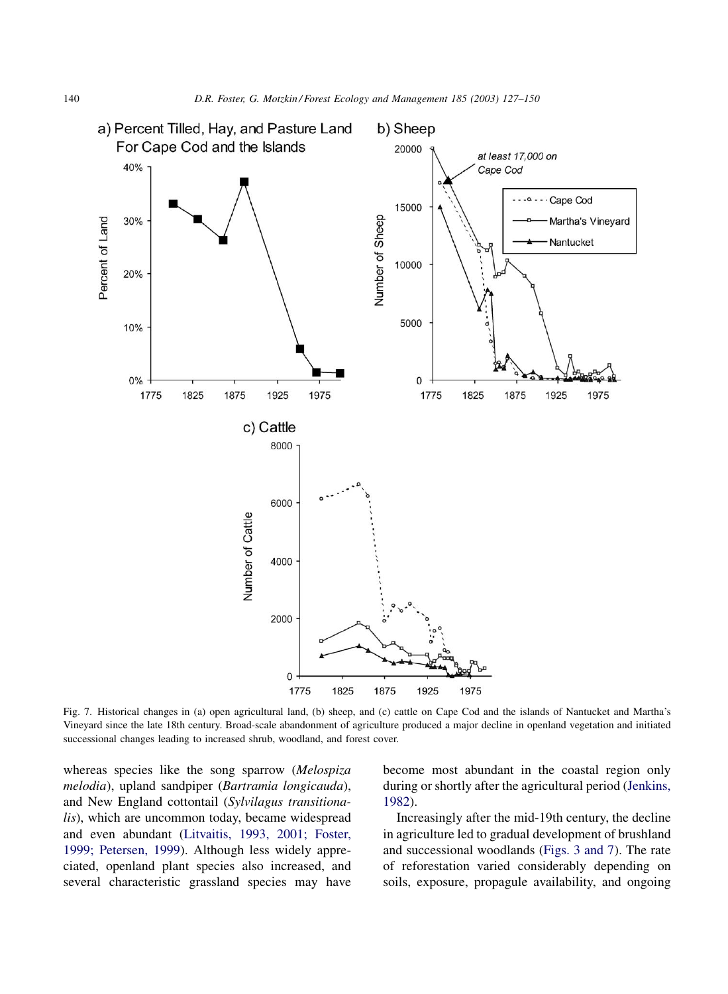<span id="page-13-0"></span>

Fig. 7. Historical changes in (a) open agricultural land, (b) sheep, and (c) cattle on Cape Cod and the islands of Nantucket and Martha's Vineyard since the late 18th century. Broad-scale abandonment of agriculture produced a major decline in openland vegetation and initiated successional changes leading to increased shrub, woodland, and forest cover.

whereas species like the song sparrow (Melospiza melodia), upland sandpiper (Bartramia longicauda), and New England cottontail (Sylvilagus transitionalis), which are uncommon today, became widespread and even abundant [\(Litvaitis, 1993, 2001; Foster,](#page-22-0) [1999; Petersen, 1999\)](#page-22-0). Although less widely appreciated, openland plant species also increased, and several characteristic grassland species may have become most abundant in the coastal region only during or shortly after the agricultural period [\(Jenkins,](#page-21-0) [1982](#page-21-0)).

Increasingly after the mid-19th century, the decline in agriculture led to gradual development of brushland and successional woodlands [\(Figs. 3 and 7](#page-3-0)). The rate of reforestation varied considerably depending on soils, exposure, propagule availability, and ongoing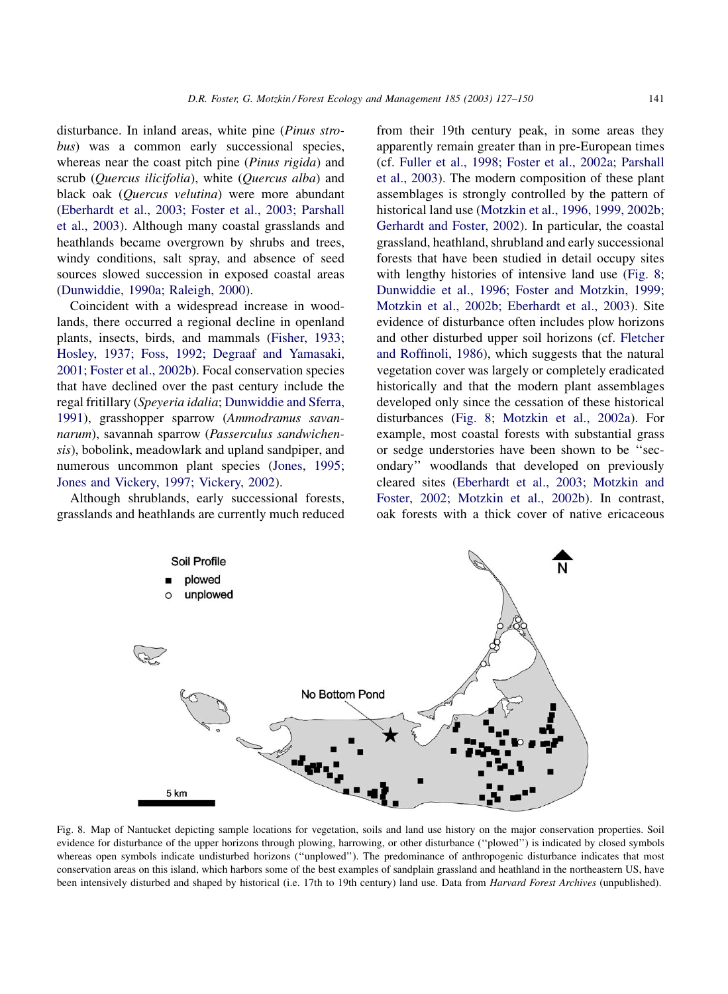<span id="page-14-0"></span>disturbance. In inland areas, white pine (Pinus strobus) was a common early successional species, whereas near the coast pitch pine (Pinus rigida) and scrub (Quercus ilicifolia), white (Quercus alba) and black oak (Quercus velutina) were more abundant ([Eberhardt et al., 2003; Foster et al., 2003; Parshall](#page-21-0) [et al., 2003](#page-21-0)). Although many coastal grasslands and heathlands became overgrown by shrubs and trees, windy conditions, salt spray, and absence of seed sources slowed succession in exposed coastal areas ([Dunwiddie, 1990a; Raleigh, 2000\)](#page-20-0).

Coincident with a widespread increase in woodlands, there occurred a regional decline in openland plants, insects, birds, and mammals ([Fisher, 1933;](#page-21-0) [Hosley, 1937; Foss, 1992; Degraaf and Yamasaki,](#page-21-0) [2001; Foster et al., 2002b](#page-21-0)). Focal conservation species that have declined over the past century include the regal fritillary (Speyeria idalia; [Dunwiddie and Sferra,](#page-21-0) [1991](#page-21-0)), grasshopper sparrow (Ammodramus savannarum), savannah sparrow (Passerculus sandwichensis), bobolink, meadowlark and upland sandpiper, and numerous uncommon plant species [\(Jones, 1995;](#page-21-0) [Jones and Vickery, 1997; Vickery, 2002\)](#page-21-0).

Although shrublands, early successional forests, grasslands and heathlands are currently much reduced from their 19th century peak, in some areas they apparently remain greater than in pre-European times (cf. [Fuller et al., 1998; Foster et al., 2002a; Parshall](#page-21-0) [et al., 2003](#page-21-0)). The modern composition of these plant assemblages is strongly controlled by the pattern of historical land use ([Motzkin et al., 1996, 1999, 2002b;](#page-22-0) [Gerhardt and Foster, 2002\)](#page-22-0). In particular, the coastal grassland, heathland, shrubland and early successional forests that have been studied in detail occupy sites with lengthy histories of intensive land use (Fig. 8; [Dunwiddie et al., 1996; Foster and Motzkin, 1999;](#page-21-0) [Motzkin et al., 2002b; Eberhardt et al., 2003](#page-21-0)). Site evidence of disturbance often includes plow horizons and other disturbed upper soil horizons (cf. [Fletcher](#page-21-0) [and Roffinoli, 1986](#page-21-0)), which suggests that the natural vegetation cover was largely or completely eradicated historically and that the modern plant assemblages developed only since the cessation of these historical disturbances (Fig. 8; [Motzkin et al., 2002a](#page-22-0)). For example, most coastal forests with substantial grass or sedge understories have been shown to be ''secondary'' woodlands that developed on previously cleared sites ([Eberhardt et al., 2003; Motzkin and](#page-21-0) [Foster, 2002; Motzkin et al., 2002b](#page-21-0)). In contrast, oak forests with a thick cover of native ericaceous



Fig. 8. Map of Nantucket depicting sample locations for vegetation, soils and land use history on the major conservation properties. Soil evidence for disturbance of the upper horizons through plowing, harrowing, or other disturbance (''plowed'') is indicated by closed symbols whereas open symbols indicate undisturbed horizons (''unplowed''). The predominance of anthropogenic disturbance indicates that most conservation areas on this island, which harbors some of the best examples of sandplain grassland and heathland in the northeastern US, have been intensively disturbed and shaped by historical (i.e. 17th to 19th century) land use. Data from Harvard Forest Archives (unpublished).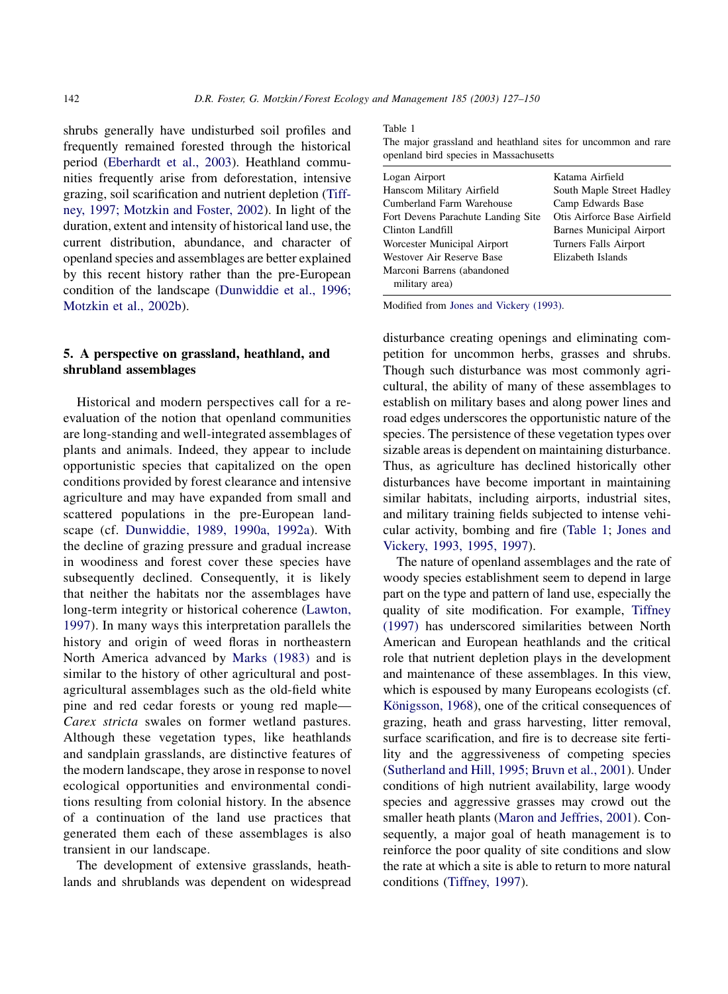<span id="page-15-0"></span>shrubs generally have undisturbed soil profiles and frequently remained forested through the historical period ([Eberhardt et al., 2003](#page-21-0)). Heathland communities frequently arise from deforestation, intensive grazing, soil scarification and nutrient depletion [\(Tiff](#page-23-0)[ney, 1997; Motzkin and Foster, 2002](#page-23-0)). In light of the duration, extent and intensity of historical land use, the current distribution, abundance, and character of openland species and assemblages are better explained by this recent history rather than the pre-European condition of the landscape [\(Dunwiddie et al., 1996;](#page-21-0) [Motzkin et al., 2002b\)](#page-21-0).

# 5. A perspective on grassland, heathland, and shrubland assemblages

Historical and modern perspectives call for a reevaluation of the notion that openland communities are long-standing and well-integrated assemblages of plants and animals. Indeed, they appear to include opportunistic species that capitalized on the open conditions provided by forest clearance and intensive agriculture and may have expanded from small and scattered populations in the pre-European landscape (cf. [Dunwiddie, 1989, 1990a, 1992a\)](#page-20-0). With the decline of grazing pressure and gradual increase in woodiness and forest cover these species have subsequently declined. Consequently, it is likely that neither the habitats nor the assemblages have long-term integrity or historical coherence ([Lawton,](#page-22-0) [1997\)](#page-22-0). In many ways this interpretation parallels the history and origin of weed floras in northeastern North America advanced by [Marks \(1983\)](#page-22-0) and is similar to the history of other agricultural and postagricultural assemblages such as the old-field white pine and red cedar forests or young red maple— Carex stricta swales on former wetland pastures. Although these vegetation types, like heathlands and sandplain grasslands, are distinctive features of the modern landscape, they arose in response to novel ecological opportunities and environmental conditions resulting from colonial history. In the absence of a continuation of the land use practices that generated them each of these assemblages is also transient in our landscape.

The development of extensive grasslands, heathlands and shrublands was dependent on widespread

#### Table 1

|  |  |                                        |  | The major grassland and heathland sites for uncommon and rare |  |
|--|--|----------------------------------------|--|---------------------------------------------------------------|--|
|  |  | openland bird species in Massachusetts |  |                                                               |  |

| Logan Airport                                | Katama Airfield                 |
|----------------------------------------------|---------------------------------|
| Hanscom Military Airfield                    | South Maple Street Hadley       |
| Cumberland Farm Warehouse                    | Camp Edwards Base               |
| Fort Devens Parachute Landing Site           | Otis Airforce Base Airfield     |
| Clinton Landfill                             | <b>Barnes Municipal Airport</b> |
| Worcester Municipal Airport                  | Turners Falls Airport           |
| Westover Air Reserve Base                    | Elizabeth Islands               |
| Marconi Barrens (abandoned<br>military area) |                                 |
|                                              |                                 |

Modified from [Jones and Vickery \(1993\)](#page-21-0).

disturbance creating openings and eliminating competition for uncommon herbs, grasses and shrubs. Though such disturbance was most commonly agricultural, the ability of many of these assemblages to establish on military bases and along power lines and road edges underscores the opportunistic nature of the species. The persistence of these vegetation types over sizable areas is dependent on maintaining disturbance. Thus, as agriculture has declined historically other disturbances have become important in maintaining similar habitats, including airports, industrial sites, and military training fields subjected to intense vehicular activity, bombing and fire (Table 1; [Jones and](#page-21-0) [Vickery, 1993, 1995, 1997\)](#page-21-0).

The nature of openland assemblages and the rate of woody species establishment seem to depend in large part on the type and pattern of land use, especially the quality of site modification. For example, [Tiffney](#page-23-0) [\(1997\)](#page-23-0) has underscored similarities between North American and European heathlands and the critical role that nutrient depletion plays in the development and maintenance of these assemblages. In this view, which is espoused by many Europeans ecologists (cf. Königsson, 1968), one of the critical consequences of grazing, heath and grass harvesting, litter removal, surface scarification, and fire is to decrease site fertility and the aggressiveness of competing species ([Sutherland and Hill, 1995; Bruvn et al., 2001\)](#page-23-0). Under conditions of high nutrient availability, large woody species and aggressive grasses may crowd out the smaller heath plants ([Maron and Jeffries, 2001](#page-22-0)). Consequently, a major goal of heath management is to reinforce the poor quality of site conditions and slow the rate at which a site is able to return to more natural conditions ([Tiffney, 1997](#page-23-0)).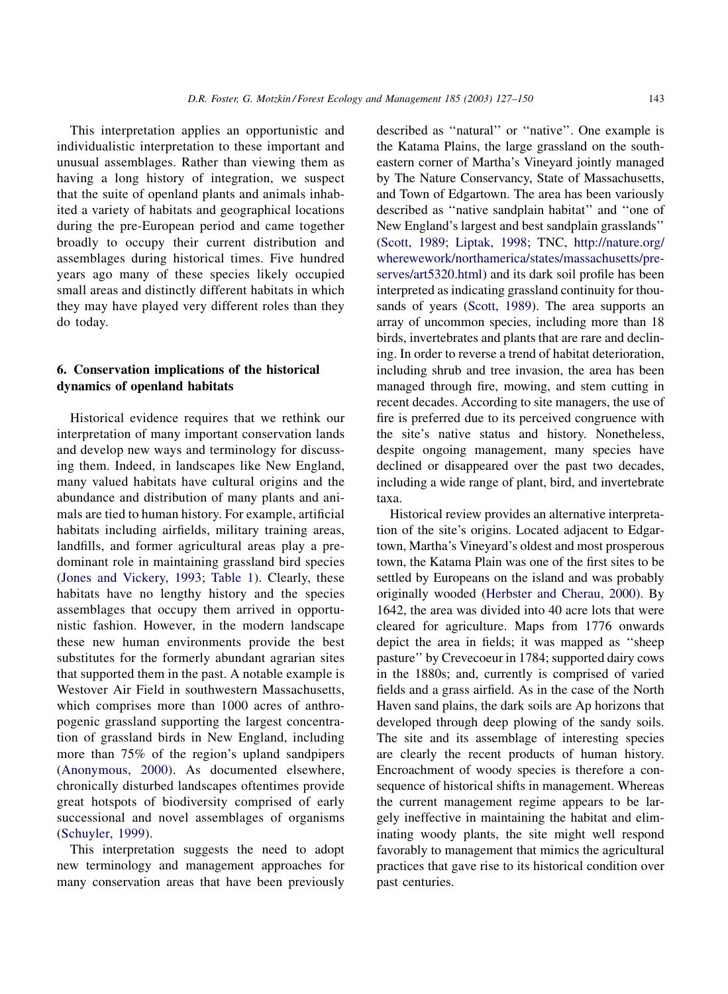This interpretation applies an opportunistic and individualistic interpretation to these important and unusual assemblages. Rather than viewing them as having a long history of integration, we suspect that the suite of openland plants and animals inhabited a variety of habitats and geographical locations during the pre-European period and came together broadly to occupy their current distribution and assemblages during historical times. Five hundred years ago many of these species likely occupied small areas and distinctly different habitats in which they may have played very different roles than they do today.

#### 6. Conservation implications of the historical dynamics of openland habitats

Historical evidence requires that we rethink our interpretation of many important conservation lands and develop new ways and terminology for discussing them. Indeed, in landscapes like New England, many valued habitats have cultural origins and the abundance and distribution of many plants and animals are tied to human history. For example, artificial habitats including airfields, military training areas, landfills, and former agricultural areas play a predominant role in maintaining grassland bird species ([Jones and Vickery, 1993;](#page-21-0) [Table 1\)](#page-15-0). Clearly, these habitats have no lengthy history and the species assemblages that occupy them arrived in opportunistic fashion. However, in the modern landscape these new human environments provide the best substitutes for the formerly abundant agrarian sites that supported them in the past. A notable example is Westover Air Field in southwestern Massachusetts, which comprises more than 1000 acres of anthropogenic grassland supporting the largest concentration of grassland birds in New England, including more than 75% of the region's upland sandpipers ([Anonymous, 2000\)](#page-19-0). As documented elsewhere, chronically disturbed landscapes oftentimes provide great hotspots of biodiversity comprised of early successional and novel assemblages of organisms ([Schuyler, 1999](#page-23-0)).

This interpretation suggests the need to adopt new terminology and management approaches for many conservation areas that have been previously

described as ''natural'' or ''native''. One example is the Katama Plains, the large grassland on the southeastern corner of Martha's Vineyard jointly managed by The Nature Conservancy, State of Massachusetts, and Town of Edgartown. The area has been variously described as ''native sandplain habitat'' and ''one of New England's largest and best sandplain grasslands'' ([Scott, 1989; Liptak, 1998](#page-23-0); TNC, [http://nature.org/](HTTP://NATURE.ORG/WHEREWEWORK/NORTHAMERICA/STATES/MASSACHUSETTS/PRESERVES/ART5320.HTML) [wherewework/northamerica/states/massachusetts/pre](HTTP://NATURE.ORG/WHEREWEWORK/NORTHAMERICA/STATES/MASSACHUSETTS/PRESERVES/ART5320.HTML)[serves/art5320.html\)](HTTP://NATURE.ORG/WHEREWEWORK/NORTHAMERICA/STATES/MASSACHUSETTS/PRESERVES/ART5320.HTML) and its dark soil profile has been interpreted as indicating grassland continuity for thousands of years ([Scott, 1989](#page-23-0)). The area supports an array of uncommon species, including more than 18 birds, invertebrates and plants that are rare and declining. In order to reverse a trend of habitat deterioration, including shrub and tree invasion, the area has been managed through fire, mowing, and stem cutting in recent decades. According to site managers, the use of fire is preferred due to its perceived congruence with the site's native status and history. Nonetheless, despite ongoing management, many species have declined or disappeared over the past two decades, including a wide range of plant, bird, and invertebrate taxa.

Historical review provides an alternative interpretation of the site's origins. Located adjacent to Edgartown, Martha's Vineyard's oldest and most prosperous town, the Katama Plain was one of the first sites to be settled by Europeans on the island and was probably originally wooded [\(Herbster and Cherau, 2000](#page-21-0)). By 1642, the area was divided into 40 acre lots that were cleared for agriculture. Maps from 1776 onwards depict the area in fields; it was mapped as ''sheep pasture'' by Crevecoeur in 1784; supported dairy cows in the 1880s; and, currently is comprised of varied fields and a grass airfield. As in the case of the North Haven sand plains, the dark soils are Ap horizons that developed through deep plowing of the sandy soils. The site and its assemblage of interesting species are clearly the recent products of human history. Encroachment of woody species is therefore a consequence of historical shifts in management. Whereas the current management regime appears to be largely ineffective in maintaining the habitat and eliminating woody plants, the site might well respond favorably to management that mimics the agricultural practices that gave rise to its historical condition over past centuries.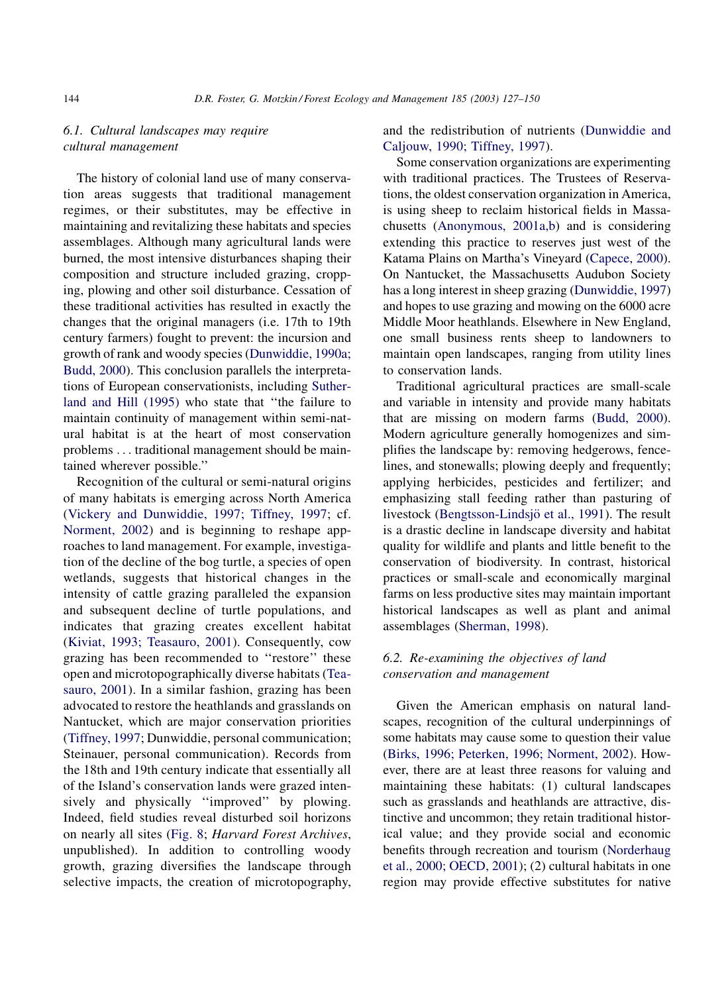# 6.1. Cultural landscapes may require cultural management

The history of colonial land use of many conservation areas suggests that traditional management regimes, or their substitutes, may be effective in maintaining and revitalizing these habitats and species assemblages. Although many agricultural lands were burned, the most intensive disturbances shaping their composition and structure included grazing, cropping, plowing and other soil disturbance. Cessation of these traditional activities has resulted in exactly the changes that the original managers (i.e. 17th to 19th century farmers) fought to prevent: the incursion and growth of rank and woody species ([Dunwiddie, 1990a;](#page-20-0) [Budd, 2000](#page-20-0)). This conclusion parallels the interpretations of European conservationists, including [Suther](#page-23-0)[land and Hill \(1995\)](#page-23-0) who state that ''the failure to maintain continuity of management within semi-natural habitat is at the heart of most conservation problems ... traditional management should be maintained wherever possible.''

Recognition of the cultural or semi-natural origins of many habitats is emerging across North America ([Vickery and Dunwiddie, 1997; Tiffney, 1997;](#page-23-0) cf. [Norment, 2002](#page-22-0)) and is beginning to reshape approaches to land management. For example, investigation of the decline of the bog turtle, a species of open wetlands, suggests that historical changes in the intensity of cattle grazing paralleled the expansion and subsequent decline of turtle populations, and indicates that grazing creates excellent habitat ([Kiviat, 1993; Teasauro, 2001\)](#page-21-0). Consequently, cow grazing has been recommended to ''restore'' these open and microtopographically diverse habitats ([Tea](#page-23-0)[sauro, 2001\)](#page-23-0). In a similar fashion, grazing has been advocated to restore the heathlands and grasslands on Nantucket, which are major conservation priorities ([Tiffney, 1997](#page-23-0); Dunwiddie, personal communication; Steinauer, personal communication). Records from the 18th and 19th century indicate that essentially all of the Island's conservation lands were grazed intensively and physically "improved" by plowing. Indeed, field studies reveal disturbed soil horizons on nearly all sites ([Fig. 8](#page-14-0); Harvard Forest Archives, unpublished). In addition to controlling woody growth, grazing diversifies the landscape through selective impacts, the creation of microtopography,

and the redistribution of nutrients ([Dunwiddie and](#page-21-0) [Caljouw, 1990; Tiffney, 1997\)](#page-21-0).

Some conservation organizations are experimenting with traditional practices. The Trustees of Reservations, the oldest conservation organization in America, is using sheep to reclaim historical fields in Massachusetts [\(Anonymous, 2001a,b](#page-19-0)) and is considering extending this practice to reserves just west of the Katama Plains on Martha's Vineyard [\(Capece, 2000\)](#page-20-0). On Nantucket, the Massachusetts Audubon Society has a long interest in sheep grazing ([Dunwiddie, 1997](#page-20-0)) and hopes to use grazing and mowing on the 6000 acre Middle Moor heathlands. Elsewhere in New England, one small business rents sheep to landowners to maintain open landscapes, ranging from utility lines to conservation lands.

Traditional agricultural practices are small-scale and variable in intensity and provide many habitats that are missing on modern farms [\(Budd, 2000\)](#page-20-0). Modern agriculture generally homogenizes and simplifies the landscape by: removing hedgerows, fencelines, and stonewalls; plowing deeply and frequently; applying herbicides, pesticides and fertilizer; and emphasizing stall feeding rather than pasturing of livestock ([Bengtsson-Lindsjo¨](#page-19-0) et al., 1991). The result is a drastic decline in landscape diversity and habitat quality for wildlife and plants and little benefit to the conservation of biodiversity. In contrast, historical practices or small-scale and economically marginal farms on less productive sites may maintain important historical landscapes as well as plant and animal assemblages [\(Sherman, 1998\)](#page-23-0).

# 6.2. Re-examining the objectives of land conservation and management

Given the American emphasis on natural landscapes, recognition of the cultural underpinnings of some habitats may cause some to question their value ([Birks, 1996; Peterken, 1996; Norment, 2002](#page-20-0)). However, there are at least three reasons for valuing and maintaining these habitats: (1) cultural landscapes such as grasslands and heathlands are attractive, distinctive and uncommon; they retain traditional historical value; and they provide social and economic benefits through recreation and tourism ([Norderhaug](#page-22-0) [et al., 2000; OECD, 2001\)](#page-22-0); (2) cultural habitats in one region may provide effective substitutes for native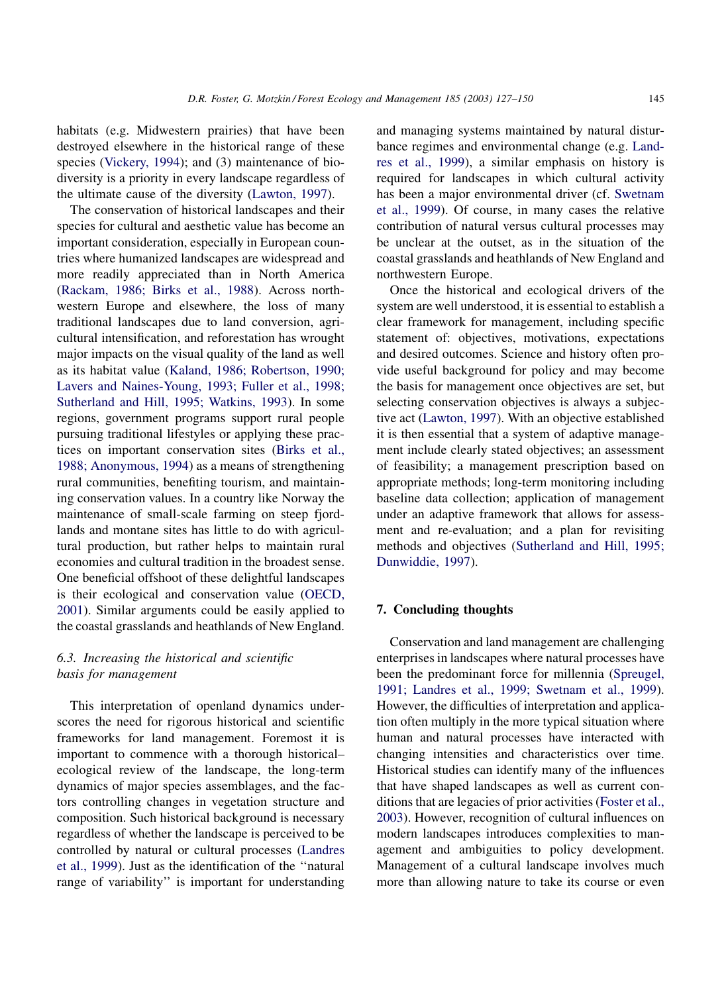habitats (e.g. Midwestern prairies) that have been destroyed elsewhere in the historical range of these species ([Vickery, 1994\)](#page-23-0); and (3) maintenance of biodiversity is a priority in every landscape regardless of the ultimate cause of the diversity ([Lawton, 1997\)](#page-22-0).

The conservation of historical landscapes and their species for cultural and aesthetic value has become an important consideration, especially in European countries where humanized landscapes are widespread and more readily appreciated than in North America ([Rackam, 1986; Birks et al., 1988\)](#page-23-0). Across northwestern Europe and elsewhere, the loss of many traditional landscapes due to land conversion, agricultural intensification, and reforestation has wrought major impacts on the visual quality of the land as well as its habitat value ([Kaland, 1986; Robertson, 1990;](#page-21-0) [Lavers and Naines-Young, 1993; Fuller et al., 1998;](#page-21-0) [Sutherland and Hill, 1995; Watkins, 1993\)](#page-21-0). In some regions, government programs support rural people pursuing traditional lifestyles or applying these practices on important conservation sites ([Birks et al.,](#page-20-0) [1988; Anonymous, 1994](#page-20-0)) as a means of strengthening rural communities, benefiting tourism, and maintaining conservation values. In a country like Norway the maintenance of small-scale farming on steep fjordlands and montane sites has little to do with agricultural production, but rather helps to maintain rural economies and cultural tradition in the broadest sense. One beneficial offshoot of these delightful landscapes is their ecological and conservation value [\(OECD,](#page-22-0) [2001](#page-22-0)). Similar arguments could be easily applied to the coastal grasslands and heathlands of New England.

# 6.3. Increasing the historical and scientific basis for management

This interpretation of openland dynamics underscores the need for rigorous historical and scientific frameworks for land management. Foremost it is important to commence with a thorough historical– ecological review of the landscape, the long-term dynamics of major species assemblages, and the factors controlling changes in vegetation structure and composition. Such historical background is necessary regardless of whether the landscape is perceived to be controlled by natural or cultural processes [\(Landres](#page-22-0) [et al., 1999\)](#page-22-0). Just as the identification of the ''natural range of variability'' is important for understanding

and managing systems maintained by natural disturbance regimes and environmental change (e.g. [Land](#page-22-0)[res et al., 1999\)](#page-22-0), a similar emphasis on history is required for landscapes in which cultural activity has been a major environmental driver (cf. [Swetnam](#page-23-0) [et al., 1999](#page-23-0)). Of course, in many cases the relative contribution of natural versus cultural processes may be unclear at the outset, as in the situation of the coastal grasslands and heathlands of New England and northwestern Europe.

Once the historical and ecological drivers of the system are well understood, it is essential to establish a clear framework for management, including specific statement of: objectives, motivations, expectations and desired outcomes. Science and history often provide useful background for policy and may become the basis for management once objectives are set, but selecting conservation objectives is always a subjective act [\(Lawton, 1997](#page-22-0)). With an objective established it is then essential that a system of adaptive management include clearly stated objectives; an assessment of feasibility; a management prescription based on appropriate methods; long-term monitoring including baseline data collection; application of management under an adaptive framework that allows for assessment and re-evaluation; and a plan for revisiting methods and objectives ([Sutherland and Hill, 1995;](#page-23-0) [Dunwiddie, 1997\)](#page-23-0).

#### 7. Concluding thoughts

Conservation and land management are challenging enterprises in landscapes where natural processes have been the predominant force for millennia ([Spreugel,](#page-23-0) [1991; Landres et al., 1999; Swetnam et al., 1999](#page-23-0)). However, the difficulties of interpretation and application often multiply in the more typical situation where human and natural processes have interacted with changing intensities and characteristics over time. Historical studies can identify many of the influences that have shaped landscapes as well as current conditions that are legacies of prior activities ([Foster et al.,](#page-21-0) [2003\)](#page-21-0). However, recognition of cultural influences on modern landscapes introduces complexities to management and ambiguities to policy development. Management of a cultural landscape involves much more than allowing nature to take its course or even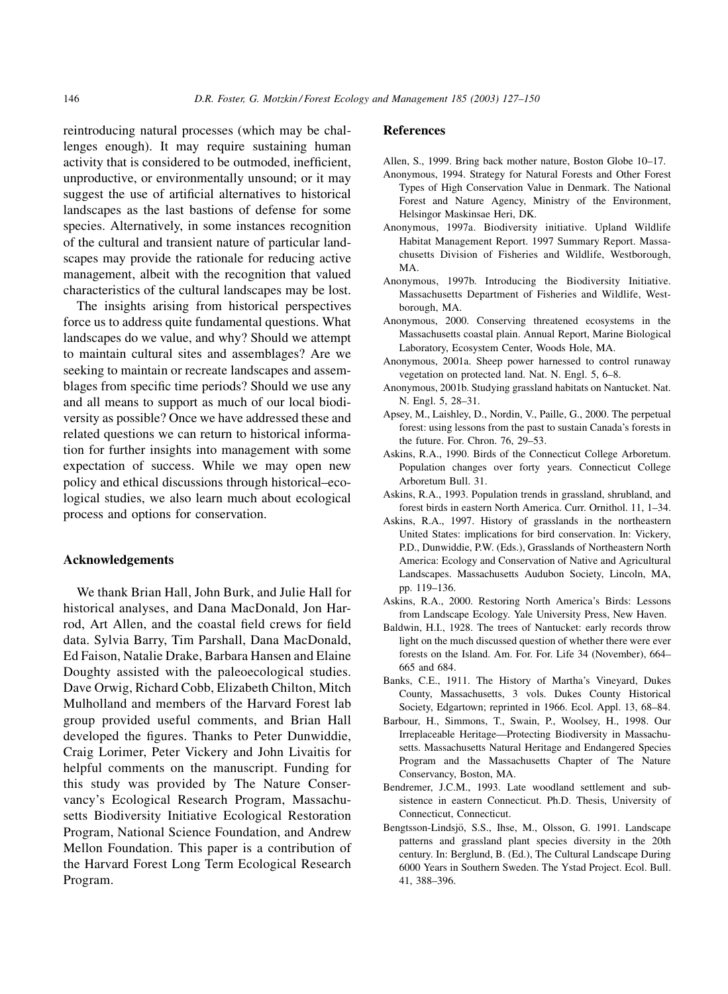<span id="page-19-0"></span>reintroducing natural processes (which may be challenges enough). It may require sustaining human activity that is considered to be outmoded, inefficient, unproductive, or environmentally unsound; or it may suggest the use of artificial alternatives to historical landscapes as the last bastions of defense for some species. Alternatively, in some instances recognition of the cultural and transient nature of particular landscapes may provide the rationale for reducing active management, albeit with the recognition that valued characteristics of the cultural landscapes may be lost.

The insights arising from historical perspectives force us to address quite fundamental questions. What landscapes do we value, and why? Should we attempt to maintain cultural sites and assemblages? Are we seeking to maintain or recreate landscapes and assemblages from specific time periods? Should we use any and all means to support as much of our local biodiversity as possible? Once we have addressed these and related questions we can return to historical information for further insights into management with some expectation of success. While we may open new policy and ethical discussions through historical–ecological studies, we also learn much about ecological process and options for conservation.

#### Acknowledgements

We thank Brian Hall, John Burk, and Julie Hall for historical analyses, and Dana MacDonald, Jon Harrod, Art Allen, and the coastal field crews for field data. Sylvia Barry, Tim Parshall, Dana MacDonald, Ed Faison, Natalie Drake, Barbara Hansen and Elaine Doughty assisted with the paleoecological studies. Dave Orwig, Richard Cobb, Elizabeth Chilton, Mitch Mulholland and members of the Harvard Forest lab group provided useful comments, and Brian Hall developed the figures. Thanks to Peter Dunwiddie, Craig Lorimer, Peter Vickery and John Livaitis for helpful comments on the manuscript. Funding for this study was provided by The Nature Conservancy's Ecological Research Program, Massachusetts Biodiversity Initiative Ecological Restoration Program, National Science Foundation, and Andrew Mellon Foundation. This paper is a contribution of the Harvard Forest Long Term Ecological Research Program.

#### References

- Allen, S., 1999. Bring back mother nature, Boston Globe 10–17.
- Anonymous, 1994. Strategy for Natural Forests and Other Forest Types of High Conservation Value in Denmark. The National Forest and Nature Agency, Ministry of the Environment, Helsingor Maskinsae Heri, DK.
- Anonymous, 1997a. Biodiversity initiative. Upland Wildlife Habitat Management Report. 1997 Summary Report. Massachusetts Division of Fisheries and Wildlife, Westborough, MA.
- Anonymous, 1997b. Introducing the Biodiversity Initiative. Massachusetts Department of Fisheries and Wildlife, Westborough, MA.
- Anonymous, 2000. Conserving threatened ecosystems in the Massachusetts coastal plain. Annual Report, Marine Biological Laboratory, Ecosystem Center, Woods Hole, MA.
- Anonymous, 2001a. Sheep power harnessed to control runaway vegetation on protected land. Nat. N. Engl. 5, 6–8.
- Anonymous, 2001b. Studying grassland habitats on Nantucket. Nat. N. Engl. 5, 28–31.
- Apsey, M., Laishley, D., Nordin, V., Paille, G., 2000. The perpetual forest: using lessons from the past to sustain Canada's forests in the future. For. Chron. 76, 29–53.
- Askins, R.A., 1990. Birds of the Connecticut College Arboretum. Population changes over forty years. Connecticut College Arboretum Bull. 31.
- Askins, R.A., 1993. Population trends in grassland, shrubland, and forest birds in eastern North America. Curr. Ornithol. 11, 1–34.
- Askins, R.A., 1997. History of grasslands in the northeastern United States: implications for bird conservation. In: Vickery, P.D., Dunwiddie, P.W. (Eds.), Grasslands of Northeastern North America: Ecology and Conservation of Native and Agricultural Landscapes. Massachusetts Audubon Society, Lincoln, MA, pp. 119–136.
- Askins, R.A., 2000. Restoring North America's Birds: Lessons from Landscape Ecology. Yale University Press, New Haven.
- Baldwin, H.I., 1928. The trees of Nantucket: early records throw light on the much discussed question of whether there were ever forests on the Island. Am. For. For. Life 34 (November), 664– 665 and 684.
- Banks, C.E., 1911. The History of Martha's Vineyard, Dukes County, Massachusetts, 3 vols. Dukes County Historical Society, Edgartown; reprinted in 1966. Ecol. Appl. 13, 68–84.
- Barbour, H., Simmons, T., Swain, P., Woolsey, H., 1998. Our Irreplaceable Heritage—Protecting Biodiversity in Massachusetts. Massachusetts Natural Heritage and Endangered Species Program and the Massachusetts Chapter of The Nature Conservancy, Boston, MA.
- Bendremer, J.C.M., 1993. Late woodland settlement and subsistence in eastern Connecticut. Ph.D. Thesis, University of Connecticut, Connecticut.
- Bengtsson-Lindsjö, S.S., Ihse, M., Olsson, G. 1991. Landscape patterns and grassland plant species diversity in the 20th century. In: Berglund, B. (Ed.), The Cultural Landscape During 6000 Years in Southern Sweden. The Ystad Project. Ecol. Bull. 41, 388–396.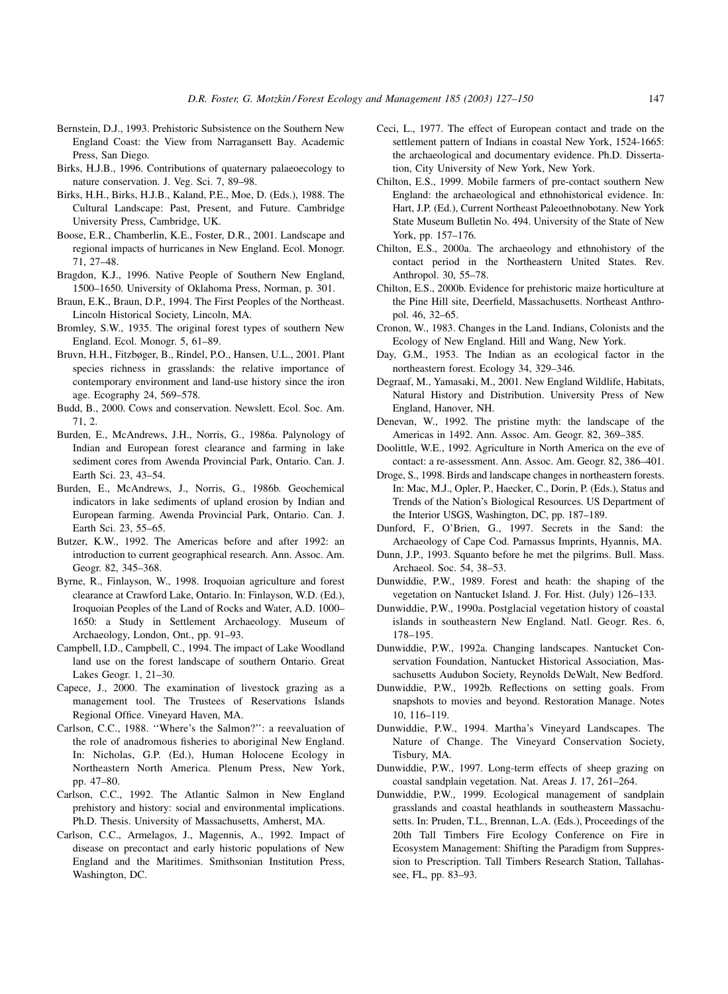- <span id="page-20-0"></span>Bernstein, D.J., 1993. Prehistoric Subsistence on the Southern New England Coast: the View from Narragansett Bay. Academic Press, San Diego.
- Birks, H.J.B., 1996. Contributions of quaternary palaeoecology to nature conservation. J. Veg. Sci. 7, 89–98.
- Birks, H.H., Birks, H.J.B., Kaland, P.E., Moe, D. (Eds.), 1988. The Cultural Landscape: Past, Present, and Future. Cambridge University Press, Cambridge, UK.
- Boose, E.R., Chamberlin, K.E., Foster, D.R., 2001. Landscape and regional impacts of hurricanes in New England. Ecol. Monogr. 71, 27–48.
- Bragdon, K.J., 1996. Native People of Southern New England, 1500–1650. University of Oklahoma Press, Norman, p. 301.
- Braun, E.K., Braun, D.P., 1994. The First Peoples of the Northeast. Lincoln Historical Society, Lincoln, MA.
- Bromley, S.W., 1935. The original forest types of southern New England. Ecol. Monogr. 5, 61–89.
- Bruvn, H.H., Fitzbøger, B., Rindel, P.O., Hansen, U.L., 2001. Plant species richness in grasslands: the relative importance of contemporary environment and land-use history since the iron age. Ecography 24, 569–578.
- Budd, B., 2000. Cows and conservation. Newslett. Ecol. Soc. Am. 71, 2.
- Burden, E., McAndrews, J.H., Norris, G., 1986a. Palynology of Indian and European forest clearance and farming in lake sediment cores from Awenda Provincial Park, Ontario. Can. J. Earth Sci. 23, 43–54.
- Burden, E., McAndrews, J., Norris, G., 1986b. Geochemical indicators in lake sediments of upland erosion by Indian and European farming. Awenda Provincial Park, Ontario. Can. J. Earth Sci. 23, 55–65.
- Butzer, K.W., 1992. The Americas before and after 1992: an introduction to current geographical research. Ann. Assoc. Am. Geogr. 82, 345–368.
- Byrne, R., Finlayson, W., 1998. Iroquoian agriculture and forest clearance at Crawford Lake, Ontario. In: Finlayson, W.D. (Ed.), Iroquoian Peoples of the Land of Rocks and Water, A.D. 1000– 1650: a Study in Settlement Archaeology. Museum of Archaeology, London, Ont., pp. 91–93.
- Campbell, I.D., Campbell, C., 1994. The impact of Lake Woodland land use on the forest landscape of southern Ontario. Great Lakes Geogr. 1, 21–30.
- Capece, J., 2000. The examination of livestock grazing as a management tool. The Trustees of Reservations Islands Regional Office. Vineyard Haven, MA.
- Carlson, C.C., 1988. ''Where's the Salmon?'': a reevaluation of the role of anadromous fisheries to aboriginal New England. In: Nicholas, G.P. (Ed.), Human Holocene Ecology in Northeastern North America. Plenum Press, New York, pp. 47–80.
- Carlson, C.C., 1992. The Atlantic Salmon in New England prehistory and history: social and environmental implications. Ph.D. Thesis. University of Massachusetts, Amherst, MA.
- Carlson, C.C., Armelagos, J., Magennis, A., 1992. Impact of disease on precontact and early historic populations of New England and the Maritimes. Smithsonian Institution Press, Washington, DC.
- Ceci, L., 1977. The effect of European contact and trade on the settlement pattern of Indians in coastal New York, 1524-1665: the archaeological and documentary evidence. Ph.D. Dissertation, City University of New York, New York.
- Chilton, E.S., 1999. Mobile farmers of pre-contact southern New England: the archaeological and ethnohistorical evidence. In: Hart, J.P. (Ed.), Current Northeast Paleoethnobotany. New York State Museum Bulletin No. 494. University of the State of New York, pp. 157–176.
- Chilton, E.S., 2000a. The archaeology and ethnohistory of the contact period in the Northeastern United States. Rev. Anthropol. 30, 55–78.
- Chilton, E.S., 2000b. Evidence for prehistoric maize horticulture at the Pine Hill site, Deerfield, Massachusetts. Northeast Anthropol. 46, 32–65.
- Cronon, W., 1983. Changes in the Land. Indians, Colonists and the Ecology of New England. Hill and Wang, New York.
- Day, G.M., 1953. The Indian as an ecological factor in the northeastern forest. Ecology 34, 329–346.
- Degraaf, M., Yamasaki, M., 2001. New England Wildlife, Habitats, Natural History and Distribution. University Press of New England, Hanover, NH.
- Denevan, W., 1992. The pristine myth: the landscape of the Americas in 1492. Ann. Assoc. Am. Geogr. 82, 369–385.
- Doolittle, W.E., 1992. Agriculture in North America on the eve of contact: a re-assessment. Ann. Assoc. Am. Geogr. 82, 386–401.
- Droge, S., 1998. Birds and landscape changes in northeastern forests. In: Mac, M.J., Opler, P., Haecker, C., Dorin, P. (Eds.), Status and Trends of the Nation's Biological Resources. US Department of the Interior USGS, Washington, DC, pp. 187–189.
- Dunford, F., O'Brien, G., 1997. Secrets in the Sand: the Archaeology of Cape Cod. Parnassus Imprints, Hyannis, MA.
- Dunn, J.P., 1993. Squanto before he met the pilgrims. Bull. Mass. Archaeol. Soc. 54, 38–53.
- Dunwiddie, P.W., 1989. Forest and heath: the shaping of the vegetation on Nantucket Island. J. For. Hist. (July) 126–133.
- Dunwiddie, P.W., 1990a. Postglacial vegetation history of coastal islands in southeastern New England. Natl. Geogr. Res. 6, 178–195.
- Dunwiddie, P.W., 1992a. Changing landscapes. Nantucket Conservation Foundation, Nantucket Historical Association, Massachusetts Audubon Society, Reynolds DeWalt, New Bedford.
- Dunwiddie, P.W., 1992b. Reflections on setting goals. From snapshots to movies and beyond. Restoration Manage. Notes 10, 116–119.
- Dunwiddie, P.W., 1994. Martha's Vineyard Landscapes. The Nature of Change. The Vineyard Conservation Society, Tisbury, MA.
- Dunwiddie, P.W., 1997. Long-term effects of sheep grazing on coastal sandplain vegetation. Nat. Areas J. 17, 261–264.
- Dunwiddie, P.W., 1999. Ecological management of sandplain grasslands and coastal heathlands in southeastern Massachusetts. In: Pruden, T.L., Brennan, L.A. (Eds.), Proceedings of the 20th Tall Timbers Fire Ecology Conference on Fire in Ecosystem Management: Shifting the Paradigm from Suppression to Prescription. Tall Timbers Research Station, Tallahassee, FL, pp. 83–93.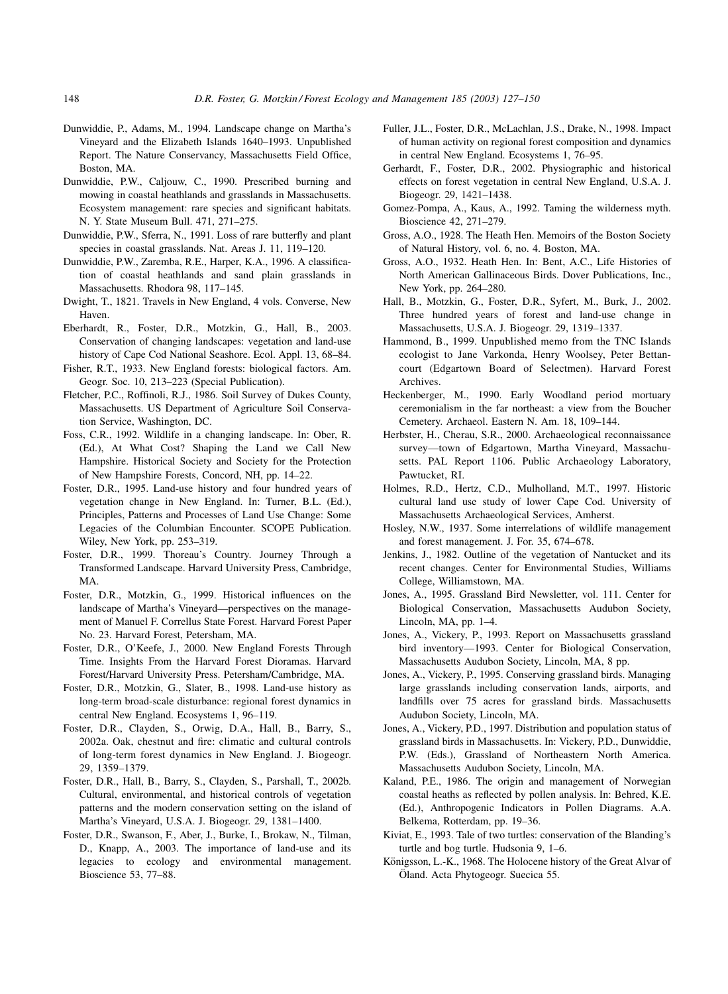- <span id="page-21-0"></span>Dunwiddie, P., Adams, M., 1994. Landscape change on Martha's Vineyard and the Elizabeth Islands 1640–1993. Unpublished Report. The Nature Conservancy, Massachusetts Field Office, Boston, MA.
- Dunwiddie, P.W., Caljouw, C., 1990. Prescribed burning and mowing in coastal heathlands and grasslands in Massachusetts. Ecosystem management: rare species and significant habitats. N. Y. State Museum Bull. 471, 271–275.
- Dunwiddie, P.W., Sferra, N., 1991. Loss of rare butterfly and plant species in coastal grasslands. Nat. Areas J. 11, 119–120.
- Dunwiddie, P.W., Zaremba, R.E., Harper, K.A., 1996. A classification of coastal heathlands and sand plain grasslands in Massachusetts. Rhodora 98, 117–145.
- Dwight, T., 1821. Travels in New England, 4 vols. Converse, New Haven.
- Eberhardt, R., Foster, D.R., Motzkin, G., Hall, B., 2003. Conservation of changing landscapes: vegetation and land-use history of Cape Cod National Seashore. Ecol. Appl. 13, 68–84.
- Fisher, R.T., 1933. New England forests: biological factors. Am. Geogr. Soc. 10, 213–223 (Special Publication).
- Fletcher, P.C., Roffinoli, R.J., 1986. Soil Survey of Dukes County, Massachusetts. US Department of Agriculture Soil Conservation Service, Washington, DC.
- Foss, C.R., 1992. Wildlife in a changing landscape. In: Ober, R. (Ed.), At What Cost? Shaping the Land we Call New Hampshire. Historical Society and Society for the Protection of New Hampshire Forests, Concord, NH, pp. 14–22.
- Foster, D.R., 1995. Land-use history and four hundred years of vegetation change in New England. In: Turner, B.L. (Ed.), Principles, Patterns and Processes of Land Use Change: Some Legacies of the Columbian Encounter. SCOPE Publication. Wiley, New York, pp. 253–319.
- Foster, D.R., 1999. Thoreau's Country. Journey Through a Transformed Landscape. Harvard University Press, Cambridge, MA.
- Foster, D.R., Motzkin, G., 1999. Historical influences on the landscape of Martha's Vineyard—perspectives on the management of Manuel F. Correllus State Forest. Harvard Forest Paper No. 23. Harvard Forest, Petersham, MA.
- Foster, D.R., O'Keefe, J., 2000. New England Forests Through Time. Insights From the Harvard Forest Dioramas. Harvard Forest/Harvard University Press. Petersham/Cambridge, MA.
- Foster, D.R., Motzkin, G., Slater, B., 1998. Land-use history as long-term broad-scale disturbance: regional forest dynamics in central New England. Ecosystems 1, 96–119.
- Foster, D.R., Clayden, S., Orwig, D.A., Hall, B., Barry, S., 2002a. Oak, chestnut and fire: climatic and cultural controls of long-term forest dynamics in New England. J. Biogeogr. 29, 1359–1379.
- Foster, D.R., Hall, B., Barry, S., Clayden, S., Parshall, T., 2002b. Cultural, environmental, and historical controls of vegetation patterns and the modern conservation setting on the island of Martha's Vineyard, U.S.A. J. Biogeogr. 29, 1381–1400.
- Foster, D.R., Swanson, F., Aber, J., Burke, I., Brokaw, N., Tilman, D., Knapp, A., 2003. The importance of land-use and its legacies to ecology and environmental management. Bioscience 53, 77–88.
- Fuller, J.L., Foster, D.R., McLachlan, J.S., Drake, N., 1998. Impact of human activity on regional forest composition and dynamics in central New England. Ecosystems 1, 76–95.
- Gerhardt, F., Foster, D.R., 2002. Physiographic and historical effects on forest vegetation in central New England, U.S.A. J. Biogeogr. 29, 1421–1438.
- Gomez-Pompa, A., Kaus, A., 1992. Taming the wilderness myth. Bioscience 42, 271–279.
- Gross, A.O., 1928. The Heath Hen. Memoirs of the Boston Society of Natural History, vol. 6, no. 4. Boston, MA.
- Gross, A.O., 1932. Heath Hen. In: Bent, A.C., Life Histories of North American Gallinaceous Birds. Dover Publications, Inc., New York, pp. 264–280.
- Hall, B., Motzkin, G., Foster, D.R., Syfert, M., Burk, J., 2002. Three hundred years of forest and land-use change in Massachusetts, U.S.A. J. Biogeogr. 29, 1319–1337.
- Hammond, B., 1999. Unpublished memo from the TNC Islands ecologist to Jane Varkonda, Henry Woolsey, Peter Bettancourt (Edgartown Board of Selectmen). Harvard Forest Archives.
- Heckenberger, M., 1990. Early Woodland period mortuary ceremonialism in the far northeast: a view from the Boucher Cemetery. Archaeol. Eastern N. Am. 18, 109–144.
- Herbster, H., Cherau, S.R., 2000. Archaeological reconnaissance survey—town of Edgartown, Martha Vineyard, Massachusetts. PAL Report 1106. Public Archaeology Laboratory, Pawtucket, RI.
- Holmes, R.D., Hertz, C.D., Mulholland, M.T., 1997. Historic cultural land use study of lower Cape Cod. University of Massachusetts Archaeological Services, Amherst.
- Hosley, N.W., 1937. Some interrelations of wildlife management and forest management. J. For. 35, 674–678.
- Jenkins, J., 1982. Outline of the vegetation of Nantucket and its recent changes. Center for Environmental Studies, Williams College, Williamstown, MA.
- Jones, A., 1995. Grassland Bird Newsletter, vol. 111. Center for Biological Conservation, Massachusetts Audubon Society, Lincoln, MA, pp. 1–4.
- Jones, A., Vickery, P., 1993. Report on Massachusetts grassland bird inventory—1993. Center for Biological Conservation, Massachusetts Audubon Society, Lincoln, MA, 8 pp.
- Jones, A., Vickery, P., 1995. Conserving grassland birds. Managing large grasslands including conservation lands, airports, and landfills over 75 acres for grassland birds. Massachusetts Audubon Society, Lincoln, MA.
- Jones, A., Vickery, P.D., 1997. Distribution and population status of grassland birds in Massachusetts. In: Vickery, P.D., Dunwiddie, P.W. (Eds.), Grassland of Northeastern North America. Massachusetts Audubon Society, Lincoln, MA.
- Kaland, P.E., 1986. The origin and management of Norwegian coastal heaths as reflected by pollen analysis. In: Behred, K.E. (Ed.), Anthropogenic Indicators in Pollen Diagrams. A.A. Belkema, Rotterdam, pp. 19–36.
- Kiviat, E., 1993. Tale of two turtles: conservation of the Blanding's turtle and bog turtle. Hudsonia 9, 1–6.
- Königsson, L.-K., 1968. The Holocene history of the Great Alvar of Öland. Acta Phytogeogr. Suecica 55.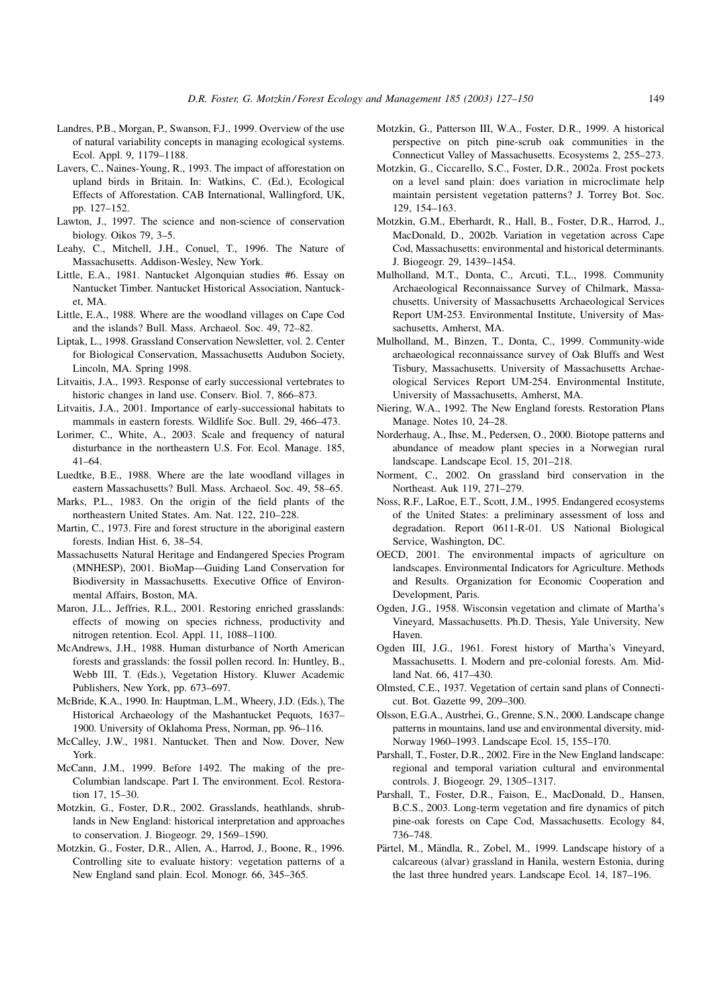- <span id="page-22-0"></span>Landres, P.B., Morgan, P., Swanson, F.J., 1999. Overview of the use of natural variability concepts in managing ecological systems. Ecol. Appl. 9, 1179–1188.
- Lavers, C., Naines-Young, R., 1993. The impact of afforestation on upland birds in Britain. In: Watkins, C. (Ed.), Ecological Effects of Afforestation. CAB International, Wallingford, UK, pp. 127–152.
- Lawton, J., 1997. The science and non-science of conservation biology. Oikos 79, 3–5.
- Leahy, C., Mitchell, J.H., Conuel, T., 1996. The Nature of Massachusetts. Addison-Wesley, New York.
- Little, E.A., 1981. Nantucket Algonquian studies #6. Essay on Nantucket Timber. Nantucket Historical Association, Nantucket, MA.
- Little, E.A., 1988. Where are the woodland villages on Cape Cod and the islands? Bull. Mass. Archaeol. Soc. 49, 72–82.
- Liptak, L., 1998. Grassland Conservation Newsletter, vol. 2. Center for Biological Conservation, Massachusetts Audubon Society, Lincoln, MA. Spring 1998.
- Litvaitis, J.A., 1993. Response of early successional vertebrates to historic changes in land use. Conserv. Biol. 7, 866–873.
- Litvaitis, J.A., 2001. Importance of early-successional habitats to mammals in eastern forests. Wildlife Soc. Bull. 29, 466–473.
- Lorimer, C., White, A., 2003. Scale and frequency of natural disturbance in the northeastern U.S. For. Ecol. Manage. 185, 41–64.
- Luedtke, B.E., 1988. Where are the late woodland villages in eastern Massachusetts? Bull. Mass. Archaeol. Soc. 49, 58–65.
- Marks, P.L., 1983. On the origin of the field plants of the northeastern United States. Am. Nat. 122, 210–228.
- Martin, C., 1973. Fire and forest structure in the aboriginal eastern forests. Indian Hist. 6, 38–54.
- Massachusetts Natural Heritage and Endangered Species Program (MNHESP), 2001. BioMap—Guiding Land Conservation for Biodiversity in Massachusetts. Executive Office of Environmental Affairs, Boston, MA.
- Maron, J.L., Jeffries, R.L., 2001. Restoring enriched grasslands: effects of mowing on species richness, productivity and nitrogen retention. Ecol. Appl. 11, 1088–1100.
- McAndrews, J.H., 1988. Human disturbance of North American forests and grasslands: the fossil pollen record. In: Huntley, B., Webb III, T. (Eds.), Vegetation History. Kluwer Academic Publishers, New York, pp. 673–697.
- McBride, K.A., 1990. In: Hauptman, L.M., Wheery, J.D. (Eds.), The Historical Archaeology of the Mashantucket Pequots, 1637– 1900. University of Oklahoma Press, Norman, pp. 96–116.
- McCalley, J.W., 1981. Nantucket. Then and Now. Dover, New York.
- McCann, J.M., 1999. Before 1492. The making of the pre-Columbian landscape. Part I. The environment. Ecol. Restoration 17, 15–30.
- Motzkin, G., Foster, D.R., 2002. Grasslands, heathlands, shrublands in New England: historical interpretation and approaches to conservation. J. Biogeogr. 29, 1569–1590.
- Motzkin, G., Foster, D.R., Allen, A., Harrod, J., Boone, R., 1996. Controlling site to evaluate history: vegetation patterns of a New England sand plain. Ecol. Monogr. 66, 345–365.
- Motzkin, G., Patterson III, W.A., Foster, D.R., 1999. A historical perspective on pitch pine-scrub oak communities in the Connecticut Valley of Massachusetts. Ecosystems 2, 255–273.
- Motzkin, G., Ciccarello, S.C., Foster, D.R., 2002a. Frost pockets on a level sand plain: does variation in microclimate help maintain persistent vegetation patterns? J. Torrey Bot. Soc. 129, 154–163.
- Motzkin, G.M., Eberhardt, R., Hall, B., Foster, D.R., Harrod, J., MacDonald, D., 2002b. Variation in vegetation across Cape Cod, Massachusetts: environmental and historical determinants. J. Biogeogr. 29, 1439–1454.
- Mulholland, M.T., Donta, C., Arcuti, T.L., 1998. Community Archaeological Reconnaissance Survey of Chilmark, Massachusetts. University of Massachusetts Archaeological Services Report UM-253. Environmental Institute, University of Massachusetts, Amherst, MA.
- Mulholland, M., Binzen, T., Donta, C., 1999. Community-wide archaeological reconnaissance survey of Oak Bluffs and West Tisbury, Massachusetts. University of Massachusetts Archaeological Services Report UM-254. Environmental Institute, University of Massachusetts, Amherst, MA.
- Niering, W.A., 1992. The New England forests. Restoration Plans Manage. Notes 10, 24–28.
- Norderhaug, A., Ihse, M., Pedersen, O., 2000. Biotope patterns and abundance of meadow plant species in a Norwegian rural landscape. Landscape Ecol. 15, 201–218.
- Norment, C., 2002. On grassland bird conservation in the Northeast. Auk 119, 271–279.
- Noss, R.F., LaRoe, E.T., Scott, J.M., 1995. Endangered ecosystems of the United States: a preliminary assessment of loss and degradation. Report 0611-R-01. US National Biological Service, Washington, DC.
- OECD, 2001. The environmental impacts of agriculture on landscapes. Environmental Indicators for Agriculture. Methods and Results. Organization for Economic Cooperation and Development, Paris.
- Ogden, J.G., 1958. Wisconsin vegetation and climate of Martha's Vineyard, Massachusetts. Ph.D. Thesis, Yale University, New Haven.
- Ogden III, J.G., 1961. Forest history of Martha's Vineyard, Massachusetts. I. Modern and pre-colonial forests. Am. Midland Nat. 66, 417–430.
- Olmsted, C.E., 1937. Vegetation of certain sand plans of Connecticut. Bot. Gazette 99, 209–300.
- Olsson, E.G.A., Austrhei, G., Grenne, S.N., 2000. Landscape change patterns in mountains, land use and environmental diversity, mid-Norway 1960–1993. Landscape Ecol. 15, 155–170.
- Parshall, T., Foster, D.R., 2002. Fire in the New England landscape: regional and temporal variation cultural and environmental controls. J. Biogeogr. 29, 1305–1317.
- Parshall, T., Foster, D.R., Faison, E., MacDonald, D., Hansen, B.C.S., 2003. Long-term vegetation and fire dynamics of pitch pine-oak forests on Cape Cod, Massachusetts. Ecology 84, 736–748.
- Pärtel, M., Mändla, R., Zobel, M., 1999. Landscape history of a calcareous (alvar) grassland in Hanila, western Estonia, during the last three hundred years. Landscape Ecol. 14, 187–196.